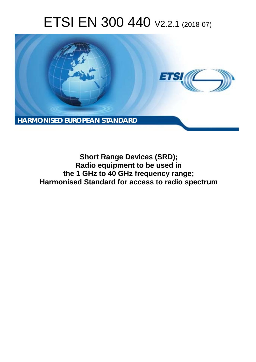# ETSI EN 300 440 V2.2.1 (2018-07)



**Short Range Devices (SRD); Radio equipment to be used in the 1 GHz to 40 GHz frequency range; Harmonised Standard for access to radio spectrum**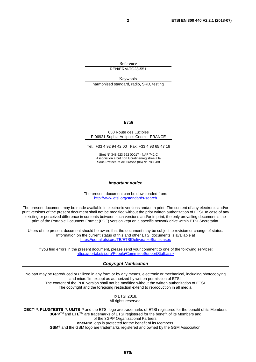Reference REN/ERM-TG28-551

Keywords

harmonised standard, radio, SRD, testing

### *ETSI*

#### 650 Route des Lucioles F-06921 Sophia Antipolis Cedex - FRANCE

Tel.: +33 4 92 94 42 00 Fax: +33 4 93 65 47 16

Siret N° 348 623 562 00017 - NAF 742 C Association à but non lucratif enregistrée à la Sous-Préfecture de Grasse (06) N° 7803/88

#### *Important notice*

The present document can be downloaded from: <http://www.etsi.org/standards-search>

The present document may be made available in electronic versions and/or in print. The content of any electronic and/or print versions of the present document shall not be modified without the prior written authorization of ETSI. In case of any existing or perceived difference in contents between such versions and/or in print, the only prevailing document is the print of the Portable Document Format (PDF) version kept on a specific network drive within ETSI Secretariat.

Users of the present document should be aware that the document may be subject to revision or change of status. Information on the current status of this and other ETSI documents is available at <https://portal.etsi.org/TB/ETSIDeliverableStatus.aspx>

If you find errors in the present document, please send your comment to one of the following services: <https://portal.etsi.org/People/CommiteeSupportStaff.aspx>

#### *Copyright Notification*

No part may be reproduced or utilized in any form or by any means, electronic or mechanical, including photocopying and microfilm except as authorized by written permission of ETSI. The content of the PDF version shall not be modified without the written authorization of ETSI. The copyright and the foregoing restriction extend to reproduction in all media.

> © ETSI 2018. All rights reserved.

**DECT**TM, **PLUGTESTS**TM, **UMTS**TM and the ETSI logo are trademarks of ETSI registered for the benefit of its Members. **3GPP**TM and **LTE**TM are trademarks of ETSI registered for the benefit of its Members and of the 3GPP Organizational Partners. **oneM2M** logo is protected for the benefit of its Members.

**GSM**® and the GSM logo are trademarks registered and owned by the GSM Association.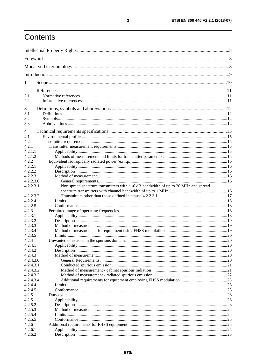## Contents

| $\mathbf{I}$     |                                                                                    |  |  |
|------------------|------------------------------------------------------------------------------------|--|--|
| 2                |                                                                                    |  |  |
| 2.1              |                                                                                    |  |  |
| 2.2              |                                                                                    |  |  |
| 3                |                                                                                    |  |  |
| 3.1              |                                                                                    |  |  |
| 3.2              |                                                                                    |  |  |
| 3.3              |                                                                                    |  |  |
| 4                |                                                                                    |  |  |
| 4.1              |                                                                                    |  |  |
| 4.2              |                                                                                    |  |  |
| 4.2.1            |                                                                                    |  |  |
| 4.2.1.1          |                                                                                    |  |  |
| 4.2.1.2          |                                                                                    |  |  |
| 4.2.2            |                                                                                    |  |  |
| 4.2.2.1          |                                                                                    |  |  |
| 4.2.2.2          |                                                                                    |  |  |
| 4.2.2.3          |                                                                                    |  |  |
| 4.2.2.3.0        |                                                                                    |  |  |
| 4.2.2.3.1        | Non spread spectrum transmitters with a -6 dB bandwidth of up to 20 MHz and spread |  |  |
|                  |                                                                                    |  |  |
| 4.2.2.3.2        |                                                                                    |  |  |
| 4.2.2.4          |                                                                                    |  |  |
| 4.2.2.5<br>4.2.3 |                                                                                    |  |  |
| 4.2.3.1          |                                                                                    |  |  |
| 4.2.3.2          |                                                                                    |  |  |
| 4.2.3.3          |                                                                                    |  |  |
| 4.2.3.4          |                                                                                    |  |  |
| 4.2.3.5          |                                                                                    |  |  |
| 4.2.4            |                                                                                    |  |  |
| 4.2.4.1          |                                                                                    |  |  |
| 4.2.4.2          |                                                                                    |  |  |
| 4.2.4.3          |                                                                                    |  |  |
| 4.2.4.3.0        |                                                                                    |  |  |
| 4.2.4.3.1        |                                                                                    |  |  |
| 4.2.4.3.2        |                                                                                    |  |  |
| 4.2.4.3.3        |                                                                                    |  |  |
| 4.2.4.3.4        |                                                                                    |  |  |
| 4.2.4.4          |                                                                                    |  |  |
| 4.2.4.5<br>4.2.5 |                                                                                    |  |  |
| 4.2.5.1          |                                                                                    |  |  |
| 4.2.5.2          |                                                                                    |  |  |
| 4.2.5.3          |                                                                                    |  |  |
| 4.2.5.4          |                                                                                    |  |  |
| 4.2.5.5          |                                                                                    |  |  |
| 4.2.6            |                                                                                    |  |  |
| 4.2.6.1          |                                                                                    |  |  |
| 4.2.6.2          |                                                                                    |  |  |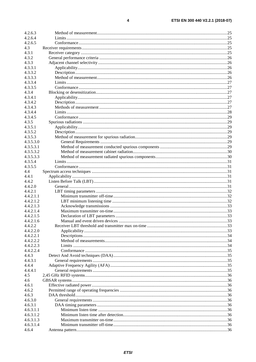$\overline{\mathbf{4}}$ 

| 4.2.6.3   |  |
|-----------|--|
| 4.2.6.4   |  |
| 4.2.6.5   |  |
| 4.3       |  |
| 4.3.1     |  |
| 4.3.2     |  |
| 4.3.3     |  |
| 4.3.3.1   |  |
| 4.3.3.2   |  |
| 4.3.3.3   |  |
|           |  |
| 4.3.3.4   |  |
| 4.3.3.5   |  |
| 4.3.4     |  |
| 4.3.4.1   |  |
| 4.3.4.2   |  |
| 4.3.4.3   |  |
| 4.3.4.4   |  |
| 4.3.4.5   |  |
| 4.3.5     |  |
| 4.3.5.1   |  |
| 4.3.5.2   |  |
| 4.3.5.3   |  |
| 4.3.5.3.0 |  |
| 4.3.5.3.1 |  |
| 4.3.5.3.2 |  |
|           |  |
| 4.3.5.3.3 |  |
| 4.3.5.4   |  |
| 4.3.5.5   |  |
| 4.4       |  |
| 4.4.1     |  |
| 4.4.2     |  |
| 4.4.2.0   |  |
| 4.4.2.1   |  |
| 4.4.2.1.1 |  |
| 4.4.2.1.2 |  |
| 4.4.2.1.3 |  |
| 4.4.2.1.4 |  |
| 4.4.2.1.5 |  |
| 4.4.2.1.6 |  |
| 4.4.2.2   |  |
| 4.4.2.2.0 |  |
| 4.4.2.2.1 |  |
| 4.4.2.2.2 |  |
| 4.4.2.2.3 |  |
|           |  |
| 4.4.2.2.4 |  |
| 4.4.3     |  |
| 4.4.3.1   |  |
| 4.4.4     |  |
| 4.4.4.1   |  |
| 4.5       |  |
| 4.6       |  |
| 4.6.1     |  |
| 4.6.2     |  |
| 4.6.3     |  |
| 4.6.3.0   |  |
| 4.6.3.1   |  |
| 4.6.3.1.1 |  |
| 4.6.3.1.2 |  |
| 4.6.3.1.3 |  |
| 4.6.3.1.4 |  |
| 4.6.4     |  |
|           |  |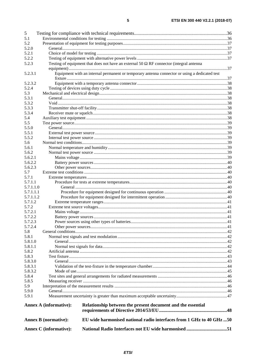| 5         |                               |                                                                                                |  |
|-----------|-------------------------------|------------------------------------------------------------------------------------------------|--|
| 5.1       |                               |                                                                                                |  |
| 5.2       |                               |                                                                                                |  |
| 5.2.0     |                               |                                                                                                |  |
| 5.2.1     |                               |                                                                                                |  |
| 5.2.2     |                               |                                                                                                |  |
| 5.2.3     |                               | Testing of equipment that does not have an external 50 $\Omega$ RF connector (integral antenna |  |
|           |                               |                                                                                                |  |
| 5.2.3.1   |                               | Equipment with an internal permanent or temporary antenna connector or using a dedicated test  |  |
|           |                               |                                                                                                |  |
| 5.2.3.2   |                               |                                                                                                |  |
| 5.2.4     |                               |                                                                                                |  |
| 5.3       |                               |                                                                                                |  |
| 5.3.1     |                               |                                                                                                |  |
| 5.3.2     |                               |                                                                                                |  |
| 5.3.3     |                               |                                                                                                |  |
| 5.3.4     |                               |                                                                                                |  |
| 5.4       |                               |                                                                                                |  |
| 5.5       |                               |                                                                                                |  |
| 5.5.0     |                               |                                                                                                |  |
| 5.5.1     |                               |                                                                                                |  |
| 5.5.2     |                               |                                                                                                |  |
| 5.6       |                               |                                                                                                |  |
| 5.6.1     |                               |                                                                                                |  |
| 5.6.2     |                               |                                                                                                |  |
| 5.6.2.1   |                               |                                                                                                |  |
| 5.6.2.2   |                               |                                                                                                |  |
| 5.6.2.3   |                               |                                                                                                |  |
| 5.7       |                               |                                                                                                |  |
| 5.7.1     |                               |                                                                                                |  |
| 5.7.1.1   |                               |                                                                                                |  |
| 5.7.1.1.0 |                               |                                                                                                |  |
| 5.7.1.1.1 |                               |                                                                                                |  |
| 5.7.1.1.2 |                               |                                                                                                |  |
| 5.7.1.2   |                               |                                                                                                |  |
| 5.7.2     |                               |                                                                                                |  |
| 5.7.2.1   |                               |                                                                                                |  |
| 5.7.2.2   |                               |                                                                                                |  |
| 5.7.2.3   |                               |                                                                                                |  |
| 5.7.2.4   |                               |                                                                                                |  |
| 5.8       |                               |                                                                                                |  |
| 5.8.1     |                               |                                                                                                |  |
| 5.8.1.0   |                               |                                                                                                |  |
| 5.8.1.1   |                               |                                                                                                |  |
| 5.8.2     |                               |                                                                                                |  |
| 5.8.3     |                               |                                                                                                |  |
| 5.8.3.0   |                               |                                                                                                |  |
| 5.8.3.1   |                               |                                                                                                |  |
| 5.8.3.2   |                               |                                                                                                |  |
| 5.8.4     |                               |                                                                                                |  |
| 5.8.5     |                               |                                                                                                |  |
| 5.9       |                               |                                                                                                |  |
| 5.9.0     |                               |                                                                                                |  |
| 5.9.1     |                               |                                                                                                |  |
|           |                               |                                                                                                |  |
|           | <b>Annex A (informative):</b> | Relationship between the present document and the essential                                    |  |
|           |                               |                                                                                                |  |
|           | <b>Annex B</b> (normative):   | EU wide harmonised national radio interfaces from 1 GHz to 40 GHz 50                           |  |
|           |                               |                                                                                                |  |
|           | Annex C (informative):        | National Radio Interfaces not EU wide harmonised 51                                            |  |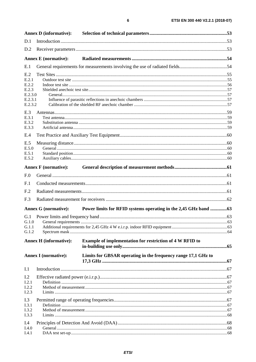|                    | <b>Annex D</b> (informative):                                                |  |
|--------------------|------------------------------------------------------------------------------|--|
| D.1                |                                                                              |  |
| D.2                |                                                                              |  |
|                    |                                                                              |  |
| E.1                | General requirements for measurements involving the use of radiated fields54 |  |
| E.2                |                                                                              |  |
| E.2.1<br>E.2.2     |                                                                              |  |
| E.2.3              |                                                                              |  |
| E.2.3.0<br>E.2.3.1 |                                                                              |  |
| E.2.3.2            |                                                                              |  |
| E.3<br>E.3.1       |                                                                              |  |
| E.3.2              |                                                                              |  |
| E.3.3              |                                                                              |  |
| E.4                |                                                                              |  |
| E.5                |                                                                              |  |
| E.5.0              |                                                                              |  |
| E.5.1              |                                                                              |  |
| E.5.2              |                                                                              |  |
|                    |                                                                              |  |
| F.0                |                                                                              |  |
| F.1                |                                                                              |  |
| F <sub>.2</sub>    |                                                                              |  |
| F.3                |                                                                              |  |

|                                | <b>Annex G</b> (normative):   |                                                                 |  |
|--------------------------------|-------------------------------|-----------------------------------------------------------------|--|
| G.1<br>G.1.0<br>G.1.1<br>G.1.2 |                               |                                                                 |  |
|                                | <b>Annex H</b> (informative): | <b>Example of implementation for restriction of 4 W RFID to</b> |  |
|                                | <b>Annex I</b> (normative):   | Limits for GBSAR operating in the frequency range 17,1 GHz to   |  |
| I.1                            |                               |                                                                 |  |
| I.2<br>I.2.1<br>I.2.2<br>I.2.3 |                               |                                                                 |  |
| I.3<br>I.3.1                   |                               |                                                                 |  |

| 1.3.1 |  |
|-------|--|
| 1.3.2 |  |
|       |  |
| I.4.0 |  |
|       |  |
|       |  |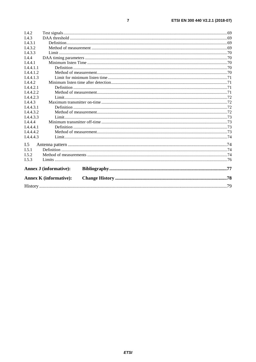| I.4.2     |                               |  |  |
|-----------|-------------------------------|--|--|
| I.4.3     |                               |  |  |
| I.4.3.1   |                               |  |  |
| I.4.3.2   |                               |  |  |
| I.4.3.3   |                               |  |  |
| I.4.4     |                               |  |  |
| I.4.4.1   |                               |  |  |
| I.4.4.1.1 |                               |  |  |
| 1.4.4.1.2 |                               |  |  |
| I.4.4.1.3 |                               |  |  |
| I.4.4.2   |                               |  |  |
| 1.4.4.2.1 |                               |  |  |
| 1.4.4.2.2 |                               |  |  |
| I.4.4.2.3 |                               |  |  |
| I.4.4.3   |                               |  |  |
| 1.4.4.3.1 |                               |  |  |
| I.4.4.3.2 |                               |  |  |
| I.4.4.3.3 |                               |  |  |
| I.4.4.4   |                               |  |  |
| I.4.4.4.1 |                               |  |  |
| I.4.4.4.2 |                               |  |  |
| I.4.4.4.3 |                               |  |  |
| I.5       |                               |  |  |
| I.5.1     |                               |  |  |
| I.5.2     |                               |  |  |
| I.5.3     |                               |  |  |
|           | <b>Annex J (informative):</b> |  |  |
|           | <b>Annex K</b> (informative): |  |  |
|           |                               |  |  |
|           |                               |  |  |

 $\overline{7}$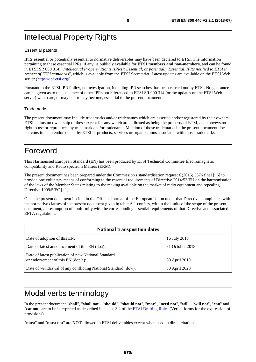## <span id="page-7-0"></span>Intellectual Property Rights

### Essential patents

IPRs essential or potentially essential to normative deliverables may have been declared to ETSI. The information pertaining to these essential IPRs, if any, is publicly available for **ETSI members and non-members**, and can be found in ETSI SR 000 314: *"Intellectual Property Rights (IPRs); Essential, or potentially Essential, IPRs notified to ETSI in respect of ETSI standards"*, which is available from the ETSI Secretariat. Latest updates are available on the ETSI Web server ([https://ipr.etsi.org/\)](https://ipr.etsi.org/).

Pursuant to the ETSI IPR Policy, no investigation, including IPR searches, has been carried out by ETSI. No guarantee can be given as to the existence of other IPRs not referenced in ETSI SR 000 314 (or the updates on the ETSI Web server) which are, or may be, or may become, essential to the present document.

#### **Trademarks**

The present document may include trademarks and/or tradenames which are asserted and/or registered by their owners. ETSI claims no ownership of these except for any which are indicated as being the property of ETSI, and conveys no right to use or reproduce any trademark and/or tradename. Mention of those trademarks in the present document does not constitute an endorsement by ETSI of products, services or organizations associated with those trademarks.

## Foreword

This Harmonised European Standard (EN) has been produced by ETSI Technical Committee Electromagnetic compatibility and Radio spectrum Matters (ERM).

The present document has been prepared under the Commission's standardisation request C(2015) 5376 final [\[i.6](#page-11-0)] to provide one voluntary means of conforming to the essential requirements of Directive 2014/53/EU on the harmonisation of the laws of the Member States relating to the making available on the market of radio equipment and repealing Directive 1999/5/EC [\[i.1\]](#page-10-0).

Once the present document is cited in the Official Journal of the European Union under that Directive, compliance with the normative clauses of the present document given in table A.1 confers, within the limits of the scope of the present document, a presumption of conformity with the corresponding essential requirements of that Directive and associated EFTA regulations.

| <b>National transposition dates</b>                                                         |                 |  |
|---------------------------------------------------------------------------------------------|-----------------|--|
| Date of adoption of this EN:                                                                | 16 July 2018    |  |
| Date of latest announcement of this EN (doa):                                               | 31 October 2018 |  |
| Date of latest publication of new National Standard<br>or endorsement of this $EN$ (dop/e): | 30 April 2019   |  |
| Date of withdrawal of any conflicting National Standard (dow):                              | 30 April 2020   |  |

## Modal verbs terminology

In the present document "**shall**", "**shall not**", "**should**", "**should not**", "**may**", "**need not**", "**will**", "**will not**", "**can**" and "**cannot**" are to be interpreted as described in clause 3.2 of the [ETSI Drafting Rules](https://portal.etsi.org/Services/editHelp!/Howtostart/ETSIDraftingRules.aspx) (Verbal forms for the expression of provisions).

"**must**" and "**must not**" are **NOT** allowed in ETSI deliverables except when used in direct citation.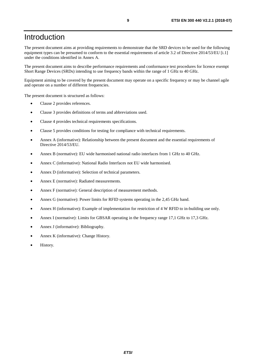## <span id="page-8-0"></span>Introduction

The present document aims at providing requirements to demonstrate that the SRD devices to be used for the following equipment types can be presumed to conform to the essential requirements of article 3.2 of Directive 2014/53/EU [\[i.1\]](#page-10-0) under the conditions identified in Annex A.

The present document aims to describe performance requirements and conformance test procedures for licence exempt Short Range Devices (SRDs) intending to use frequency bands within the range of 1 GHz to 40 GHz.

Equipment aiming to be covered by the present document may operate on a specific frequency or may be channel agile and operate on a number of different frequencies.

The present document is structured as follows:

- Clause 2 provides references.
- Clause 3 provides definitions of terms and abbreviations used.
- Clause 4 provides technical requirements specifications.
- Clause 5 provides conditions for testing for compliance with technical requirements.
- Annex A (informative): Relationship between the present document and the essential requirements of Directive 2014/53/EU.
- Annex B (normative): EU wide harmonised national radio interfaces from 1 GHz to 40 GHz.
- Annex C (informative): National Radio Interfaces not EU wide harmonised.
- Annex D (informative): Selection of technical parameters.
- Annex E (normative): Radiated measurements.
- Annex F (normative): General description of measurement methods.
- Annex G (normative): Power limits for RFID systems operating in the 2,45 GHz band.
- Annex H (informative): Example of implementation for restriction of 4 W RFID to in-building use only.
- Annex I (normative): Limits for GBSAR operating in the frequency range 17,1 GHz to 17,3 GHz.
- Annex J (informative): Bibliography.
- Annex K (informative): Change History.
- History.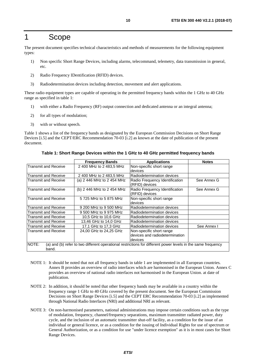## <span id="page-9-0"></span>1 Scope

The present document specifies technical characteristics and methods of measurements for the following equipment types:

- 1) Non specific Short Range Devices, including alarms, telecommand, telemetry, data transmission in general, etc.
- 2) Radio Frequency IDentification (RFID) devices.
- 3) Radiodetermination devices including detection, movement and alert applications.

These radio equipment types are capable of operating in the permitted frequency bands within the 1 GHz to 40 GHz range as specified in table 1:

- 1) with either a Radio Frequency (RF) output connection and dedicated antenna or an integral antenna;
- 2) for all types of modulation;
- 3) with or without speech.

Table 1 shows a list of the frequency bands as designated by the European Commission Decisions on Short Range Devices [[i.5\]](#page-11-0) and the CEPT/ERC Recommendation 70-03 [\[i.2](#page-10-0)] as known at the date of publication of the present document.

|                             | <b>Frequency Bands</b>     | <b>Applications</b>                                                                                          | <b>Notes</b> |
|-----------------------------|----------------------------|--------------------------------------------------------------------------------------------------------------|--------------|
| <b>Transmit and Receive</b> | 2 400 MHz to 2 483,5 MHz   | Non-specific short range                                                                                     |              |
|                             |                            | devices                                                                                                      |              |
| <b>Transmit and Receive</b> | 2 400 MHz to 2 483,5 MHz   | Radiodetermination devices                                                                                   |              |
| Transmit and Receive        | (a) 2 446 MHz to 2 454 MHz | Radio Frequency Identification<br>(RFID) devices                                                             | See Annex G  |
| Transmit and Receive        | (b) 2 446 MHz to 2 454 MHz | Radio Frequency Identification<br>(RFID) devices                                                             | See Annex G  |
| <b>Transmit and Receive</b> | 5 725 MHz to 5 875 MHz     | Non-specific short range<br>devices                                                                          |              |
| Transmit and Receive        | 9 200 MHz to 9 500 MHz     | Radiodetermination devices                                                                                   |              |
| Transmit and Receive        | 9 500 MHz to 9 975 MHz     | Radiodetermination devices                                                                                   |              |
| Transmit and Receive        | 10,5 GHz to 10,6 GHz       | Radiodetermination devices                                                                                   |              |
| <b>Transmit and Receive</b> | 13,46 GHz to 14,0 GHz      | Radiodetermination devices                                                                                   |              |
| Transmit and Receive        | 17,1 GHz to 17,3 GHz       | Radiodetermination devices                                                                                   | See Annex I  |
| Transmit and Receive        | 24,00 GHz to 24,25 GHz     | Non-specific short range                                                                                     |              |
|                             |                            | devices and radiodetermination                                                                               |              |
|                             |                            | devices                                                                                                      |              |
| NOTE:<br>band.              |                            | (a) and (b) refer to two different operational restrictions for different power levels in the same frequency |              |

**Table 1: Short Range Devices within the 1 GHz to 40 GHz permitted frequency bands** 

- NOTE 1: It should be noted that not all frequency bands in table 1 are implemented in all European countries. Annex B provides an overview of radio interfaces which are harmonised in the European Union. Annex C provides an overview of national radio interfaces not harmonised in the European Union. at date of publication.
- NOTE 2: In addition, it should be noted that other frequency bands may be available in a country within the frequency range 1 GHz to 40 GHz covered by the present document. See the European Commission Decisions on Short Range Devices [[i.5](#page-11-0)] and the CEPT ERC Recommendation 70-03 [[i.2\]](#page-10-0) as implemented through National Radio Interfaces (NRI) and additional NRI as relevant.
- NOTE 3: On non-harmonised parameters, national administrations may impose certain conditions such as the type of modulation, frequency, channel/frequency separations, maximum transmitter radiated power, duty cycle, and the inclusion of an automatic transmitter shut-off facility, as a condition for the issue of an individual or general licence, or as a condition for the issuing of Individual Rights for use of spectrum or General Authorization, or as a condition for use "under licence exemption" as it is in most cases for Short Range Devices.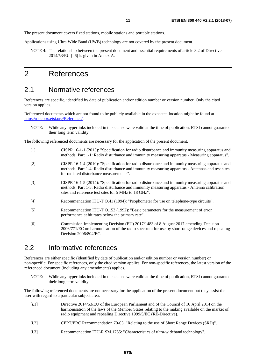<span id="page-10-0"></span>The present document covers fixed stations, mobile stations and portable stations.

Applications using Ultra Wide Band (UWB) technology are not covered by the present document.

NOTE 4: The relationship between the present document and essential requirements of article 3.2 of Directive 2014/53/EU [\[i.6](#page-11-0)] is given in Annex A.

## 2 References

## 2.1 Normative references

References are specific, identified by date of publication and/or edition number or version number. Only the cited version applies.

Referenced documents which are not found to be publicly available in the expected location might be found at <https://docbox.etsi.org/Reference/>.

NOTE: While any hyperlinks included in this clause were valid at the time of publication, ETSI cannot guarantee their long term validity.

The following referenced documents are necessary for the application of the present document.

- [1] CISPR 16-1-1 (2015): "Specification for radio disturbance and immunity measuring apparatus and methods; Part 1-1: Radio disturbance and immunity measuring apparatus - Measuring apparatus".
- [2] CISPR 16-1-4 (2010): "Specification for radio disturbance and immunity measuring apparatus and methods; Part 1-4: Radio disturbance and immunity measuring apparatus - Antennas and test sites for radiated disturbance measurements".
- [3] CISPR 16-1-5 (2014): "Specification for radio disturbance and immunity measuring apparatus and methods; Part 1-5: Radio disturbance and immunity measuring apparatus - Antenna calibration sites and reference test sites for 5 MHz to 18 GHz".
- [4] Recommendation ITU-T O.41 (1994): "Psophometer for use on telephone-type circuits".
- [5] Recommendation ITU-T O.153 (1992): "Basic parameters for the measurement of error performance at bit rates below the primary rate".
- [6] Commission Implementing Decision (EU) 2017/1483 of 8 August 2017 amending Decision 2006/771/EC on harmonisation of the radio spectrum for use by short-range devices and repealing Decision 2006/804/EC.

## 2.2 Informative references

References are either specific (identified by date of publication and/or edition number or version number) or non-specific. For specific references, only the cited version applies. For non-specific references, the latest version of the referenced document (including any amendments) applies.

NOTE: While any hyperlinks included in this clause were valid at the time of publication, ETSI cannot guarantee their long term validity.

The following referenced documents are not necessary for the application of the present document but they assist the user with regard to a particular subject area.

- [i.1] Directive 2014/53/EU of the European Parliament and of the Council of 16 April 2014 on the harmonisation of the laws of the Member States relating to the making available on the market of radio equipment and repealing Directive 1999/5/EC (RE-Directive).
- [i.2] CEPT/ERC Recommendation 70-03: "Relating to the use of Short Range Devices (SRD)".
- [i.3] Recommendation ITU-R SM.1755: "Characteristics of ultra-wideband technology".

*ETSI*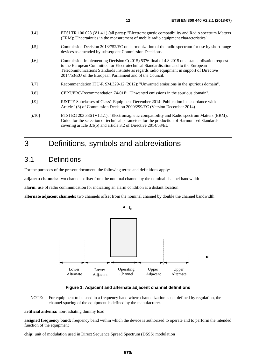<span id="page-11-0"></span>

| [1.4]   | ETSI TR 100 028 (V1.4.1) (all parts): "Electromagnetic compatibility and Radio spectrum Matters<br>(ERM); Uncertainties in the measurement of mobile radio equipment characteristics".                                                                                                                                                         |
|---------|------------------------------------------------------------------------------------------------------------------------------------------------------------------------------------------------------------------------------------------------------------------------------------------------------------------------------------------------|
| [i.5]   | Commission Decision 2013/752/EC on harmonization of the radio spectrum for use by short-range<br>devices as amended by subsequent Commission Decisions.                                                                                                                                                                                        |
| [i.6]   | Commission Implementing Decision $C(2015)$ 5376 final of 4.8.2015 on a standardisation request<br>to the European Committee for Electrotechnical Standardisation and to the European<br>Telecommunications Standards Institute as regards radio equipment in support of Directive<br>2014/53/EU of the European Parliament and of the Council. |
| $[1.7]$ | Recommendation ITU-R SM.329-12 (2012): "Unwanted emissions in the spurious domain".                                                                                                                                                                                                                                                            |
| [i.8]   | CEPT/ERC/Recommendation 74-01E: "Unwanted emissions in the spurious domain".                                                                                                                                                                                                                                                                   |
| [i.9]   | R&TTE Subclasses of Class1 Equipment December 2014: Publication in accordance with<br>Article 1(3) of Commission Decision 2000/299/EC (Version December 2014).                                                                                                                                                                                 |

[i.10] ETSI EG 203 336 (V1.1.1): "Electromagnetic compatibility and Radio spectrum Matters (ERM); Guide for the selection of technical parameters for the production of Harmonised Standards covering article 3.1(b) and article 3.2 of Directive 2014/53/EU".

## 3 Definitions, symbols and abbreviations

## 3.1 Definitions

For the purposes of the present document, the following terms and definitions apply:

**adjacent channels:** two channels offset from the nominal channel by the nominal channel bandwidth

**alarm:** use of radio communication for indicating an alarm condition at a distant location

**alternate adjacent channels:** two channels offset from the nominal channel by double the channel bandwidth



**Figure 1: Adjacent and alternate adjacent channel definitions** 

NOTE: For equipment to be used in a frequency band where channelization is not defined by regulation, the channel spacing of the equipment is defined by the manufacturer.

**artificial antenna:** non-radiating dummy load

**assigned frequency band:** frequency band within which the device is authorized to operate and to perform the intended function of the equipment

**chip:** unit of modulation used in Direct Sequence Spread Spectrum (DSSS) modulation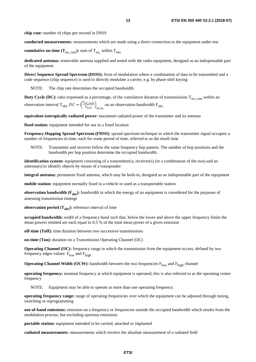**chip rate:** number of chips per second in DSSS

**conducted measurements:** measurements which are made using a direct connection to the equipment under test

**cumulative on-time (T<sub>on\_cum</sub>):** sum of T<sub>on,</sub> within T<sub>obs</sub>

**dedicated antenna:** removable antenna supplied and tested with the radio equipment, designed as an indispensable part of the equipment

**Direct Sequence Spread Spectrum (DSSS):** form of modulation where a combination of data to be transmitted and a code sequence (chip sequence) is used to directly modulate a carrier, e.g. by phase shift keying

NOTE: The chip rate determines the occupied bandwidth.

**Duty Cycle (DC):** ratio expressed as a percentage, of the cumulative duration of transmissions  $T_{on-cum}$  within an

observation interval T<sub>obs</sub>.  $DC = \left(\frac{T_{on\_cum}}{T_{obs}}\right)$  $\frac{m_c c u m}{r_{obs}}$  on an observation bandwidth  $F_{obs}$ 

**equivalent isotropically radiated power:** maximum radiated power of the transmitter and its antenna

**fixed station:** equipment intended for use in a fixed location

**Frequency Hopping Spread Spectrum (FHSS):** spread spectrum technique in which the transmitter signal occupies a number of frequencies in time, each for some period of time, referred to as the dwell time

NOTE: Transmitter and receiver follow the same frequency hop pattern. The number of hop positions and the bandwidth per hop position determine the occupied bandwidth.

**identification system:** equipment consisting of a transmitter(s), receiver(s) (or a combination of the two) and an antenna(s) to identify objects by means of a transponder

**integral antenna:** permanent fixed antenna, which may be built-in, designed as an indispensable part of the equipment

**mobile station:** equipment normally fixed in a vehicle or used as a transportable station

**observation bandwidth (F<sub>obs</sub>):** bandwidth in which the energy of an equipment is considered for the purposes of assessing transmission timings

**observation period**  $(T_{obs})$ **:** reference interval of time

**occupied bandwidth:** width of a frequency band such that, below the lower and above the upper frequency limits the mean powers emitted are each equal to 0,5 % of the total mean power of a given emission

**off-time (Toff):** time duration between two successive transmissions

**on-time (Ton):** duration on a Transmission Operating Channel (OC)

**Operating Channel (OC):** frequency range in which the transmission from the equipment occurs; defined by two frequency edges values:  $F_{low}$  and  $F_{high}$ 

**Operating Channel Width (OCW):** bandwidth between the two frequencies F<sub>low</sub> and F<sub>high</sub> channel

**operating frequency:** nominal frequency at which equipment is operated; this is also referred to as the operating centre frequency

NOTE: Equipment may be able to operate at more than one operating frequency.

**operating frequency range:** range of operating frequencies over which the equipment can be adjusted through tuning, switching or reprogramming

**out-of-band emissions:** emission on a frequency or frequencies outside the occupied bandwidth which results from the modulation process, but excluding spurious emissions

**portable station:** equipment intended to be carried, attached or implanted

**radiated measurements:** measurements which involve the absolute measurement of a radiated field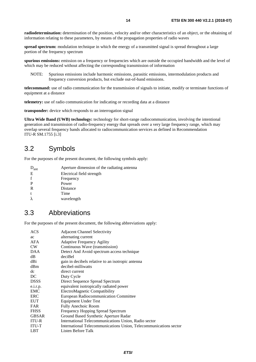<span id="page-13-0"></span>**radiodetermination:** determination of the position, velocity and/or other characteristics of an object, or the obtaining of information relating to these parameters, by means of the propagation properties of radio waves

**spread spectrum:** modulation technique in which the energy of a transmitted signal is spread throughout a large portion of the frequency spectrum

**spurious emissions:** emission on a frequency or frequencies which are outside the occupied bandwidth and the level of which may be reduced without affecting the corresponding transmission of information

NOTE: Spurious emissions include harmonic emissions, parasitic emissions, intermodulation products and frequency conversion products, but exclude out-of-band emissions.

**telecommand:** use of radio communication for the transmission of signals to initiate, modify or terminate functions of equipment at a distance

**telemetry:** use of radio communication for indicating or recording data at a distance

**transponder:** device which responds to an interrogation signal

**Ultra Wide Band (UWB) technology:** technology for short-range radiocommunication, involving the intentional generation and transmission of radio-frequency energy that spreads over a very large frequency range, which may overlap several frequency bands allocated to radiocommunication services as defined in Recommendation ITU-R SM.1755 [\[i.3\]](#page-10-0)

## 3.2 Symbols

For the purposes of the present document, the following symbols apply:

| $O_{ant}$ | Aperture dimension of the radiating antenna |
|-----------|---------------------------------------------|
| E         | Electrical field strength                   |
|           | Frequency                                   |
|           | Power                                       |
| R         | Distance                                    |
|           | Time                                        |
|           | wavelength                                  |
|           |                                             |

## 3.3 Abbreviations

For the purposes of the present document, the following abbreviations apply:

| ACS          | <b>Adjacent Channel Selectivity</b>                               |
|--------------|-------------------------------------------------------------------|
| ac           | alternating current                                               |
| AFA          | <b>Adaptive Frequency Agility</b>                                 |
| <b>CW</b>    | Continuous Wave (transmission)                                    |
| <b>DAA</b>   | Detect And Avoid spectrum access technique                        |
| dB           | deciBel                                                           |
| dBi          | gain in decibels relative to an isotropic antenna                 |
| dBm          | decibel-milliwatts                                                |
| dc           | direct current                                                    |
| DC           | Duty Cycle                                                        |
| <b>DSSS</b>  | Direct Sequence Spread Spectrum                                   |
| e.i.r.p.     | equivalent isotropically radiated power                           |
| <b>EMC</b>   | ElectroMagnetic Compatibility                                     |
| ERC          | <b>European Radiocommunication Committee</b>                      |
| <b>EUT</b>   | <b>Equipment Under Test</b>                                       |
| <b>FAR</b>   | <b>Fully Anechoic Room</b>                                        |
| <b>FHSS</b>  | <b>Frequency Hopping Spread Spectrum</b>                          |
| <b>GBSAR</b> | Ground Based Synthetic Aperture Radar                             |
| <b>ITU-R</b> | International Telecommunications Union, Radio sector              |
| <b>ITU-T</b> | International Telecommunications Union, Telecommunications sector |
| <b>LBT</b>   | Listen Before Talk                                                |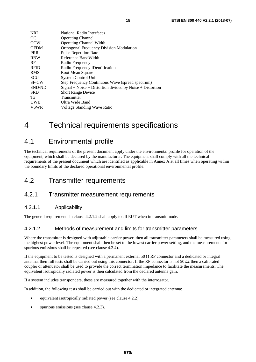<span id="page-14-0"></span>

| <b>NRI</b>   | National Radio Interfaces                                      |
|--------------|----------------------------------------------------------------|
| OC           | <b>Operating Channel</b>                                       |
| <b>OCW</b>   | <b>Operating Channel Width</b>                                 |
| <b>OFDM</b>  | <b>Orthogonal Frequency Division Modulation</b>                |
| <b>PRR</b>   | <b>Pulse Repetition Rate</b>                                   |
| <b>RBW</b>   | Reference BandWidth                                            |
| <b>RF</b>    | Radio Frequency                                                |
| <b>RFID</b>  | Radio Frequency IDentification                                 |
| <b>RMS</b>   | Root Mean Square                                               |
| <b>SCU</b>   | <b>System Control Unit</b>                                     |
| <b>SF-CW</b> | Step Frequency Continuous Wave (spread spectrum)               |
| SND/ND       | $Signal + Noise + Distortion\ divided\ by\ Noise + Distortion$ |
| <b>SRD</b>   | <b>Short Range Device</b>                                      |
| Tx           | Transmitter                                                    |
| <b>UWB</b>   | Ultra Wide Band                                                |
| <b>VSWR</b>  | Voltage Standing Wave Ratio                                    |

## 4 Technical requirements specifications

## 4.1 Environmental profile

The technical requirements of the present document apply under the environmental profile for operation of the equipment, which shall be declared by the manufacturer. The equipment shall comply with all the technical requirements of the present document which are identified as applicable in Annex A at all times when operating within the boundary limits of the declared operational environmental profile.

## 4.2 Transmitter requirements

## 4.2.1 Transmitter measurement requirements

## 4.2.1.1 Applicability

The general requirements in clause 4.2.1.2 shall apply to all EUT when in transmit mode.

## 4.2.1.2 Methods of measurement and limits for transmitter parameters

Where the transmitter is designed with adjustable carrier power, then all transmitter parameters shall be measured using the highest power level. The equipment shall then be set to the lowest carrier power setting, and the measurements for spurious emissions shall be repeated (see clause 4.2.4).

If the equipment to be tested is designed with a permanent external 50  $\Omega$  RF connector and a dedicated or integral antenna, then full tests shall be carried out using this connector. If the RF connector is not 50  $Ω$ , then a calibrated coupler or attenuator shall be used to provide the correct termination impedance to facilitate the measurements. The equivalent isotropically radiated power is then calculated from the declared antenna gain.

If a system includes transponders, these are measured together with the interrogator.

In addition, the following tests shall be carried out with the dedicated or integrated antenna:

- equivalent isotropically radiated power (see clause 4.2.2);
- spurious emissions (see clause 4.2.3).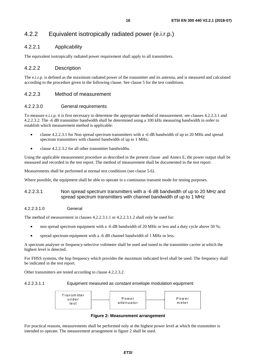## <span id="page-15-0"></span>4.2.2 Equivalent isotropically radiated power (e.i.r.p.)

## 4.2.2.1 Applicability

The equivalent isotropically radiated power requirement shall apply to all transmitters.

## 4.2.2.2 Description

The e.i.r.p. is defined as the maximum radiated power of the transmitter and its antenna, and is measured and calculated according to the procedure given in the following clause. See clause 5 for the test conditions.

## 4.2.2.3 Method of measurement

## 4.2.2.3.0 General requirements

To measure e.i.r.p. it is first necessary to determine the appropriate method of measurement: see clauses 4.2.2.3.1 and 4.2.2.3.2. The -6 dB transmitter bandwidth shall be determined using a 100 kHz measuring bandwidth in order to establish which measurement method is applicable:

- clause 4.2.2.3.1 for Non spread spectrum transmitters with a -6 dB bandwidth of up to 20 MHz and spread spectrum transmitters with channel bandwidth of up to 1 MHz;
- clause 4.2.2.3.2 for all other transmitter bandwidths.

Using the applicable measurement procedure as described in the present clause and Annex E, the power output shall be measured and recorded in the test report. The method of measurement shall be documented in the test report.

Measurements shall be performed at normal test conditions (see clause 5.6).

Where possible, the equipment shall be able to operate in a continuous transmit mode for testing purposes.

## 4.2.2.3.1 Non spread spectrum transmitters with a -6 dB bandwidth of up to 20 MHz and spread spectrum transmitters with channel bandwidth of up to 1 MHz

## 4.2.2.3.1.0 General

The method of measurement in clauses 4.2.2.3.1.1 or 4.2.2.3.1.2 shall only be used for:

- non spread spectrum equipment with a -6 dB bandwidth of 20 MHz or less and a duty cycle above 50 %;
- spread spectrum equipment with a -6 dB channel bandwidth of 1 MHz or less.

A spectrum analyser or frequency-selective voltmeter shall be used and tuned to the transmitter carrier at which the highest level is detected.

For FHSS systems, the hop frequency which provides the maximum indicated level shall be used. The frequency shall be indicated in the test report.

Other transmitters are tested according to clause 4.2.2.3.2.

4.2.2.3.1.1 Equipment measured as constant envelope modulation equipment



**Figure 2: Measurement arrangement** 

For practical reasons, measurements shall be performed only at the highest power level at which the transmitter is intended to operate. The measurement arrangement in figure 2 shall be used.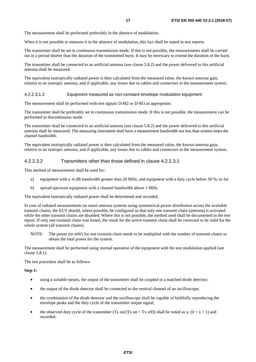<span id="page-16-0"></span>The measurement shall be performed preferably in the absence of modulation.

When it is not possible to measure it in the absence of modulation, this fact shall be stated in test reports.

The transmitter shall be set in continuous transmission mode. If this is not possible, the measurements shall be carried out in a period shorter than the duration of the transmitted burst. It may be necessary to extend the duration of the burst.

The transmitter shall be connected to an artificial antenna (see clause 5.8.2) and the power delivered to this artificial antenna shall be measured.

The equivalent isotropically radiated power is then calculated from the measured value, the known antenna gain, relative to an isotropic antenna, and if applicable, any losses due to cables and connectors in the measurement system.

#### 4.2.2.3.1.2 Equipment measured as non-constant envelope modulation equipment

The measurement shall be performed with test signals D-M2 or D-M3 as appropriate.

The transmitter shall be preferably set in continuous transmission mode. If this is not possible, the measurement can be performed in discontinuous mode.

The transmitter shall be connected to an artificial antenna (see clause 5.8.2) and the power delivered to this artificial antenna shall be measured. The measuring instrument shall have a measurement bandwidth not less than sixteen times the channel bandwidth.

The equivalent isotropically radiated power is then calculated from the measured value, the known antenna gain, relative to an isotropic antenna, and if applicable, any losses due to cables and connectors in the measurement system.

#### 4.2.2.3.2 Transmitters other than those defined in clause 4.2.2.3.1

This method of measurement shall be used for:

- a) equipment with a -6 dB bandwidth greater than 20 MHz, and equipment with a duty cycle below 50 %; or for
- b) spread spectrum equipment with a channel bandwidth above 1 MHz.

The equivalent isotropically radiated power shall be determined and recorded.

In case of radiated measurements on smart antenna systems using symmetrical power distribution across the available transmit chains, the EUT should, where possible, be configured so that only one transmit chain (antenna) is activated while the other transmit chains are disabled. Where this is not possible, the method used shall be documented in the test report. If only one transmit chain was tested, the result for the active transmit chain shall be corrected to be valid for the whole system (all transmit chains).

NOTE: The power (in mW) for one transmit chain needs to be multiplied with the number of transmit chains to obtain the total power for the system.

The measurement shall be performed using normal operation of the equipment with the test modulation applied (see clause 5.8.1).

The test procedure shall be as follows:

**Step 1:** 

- using a suitable means, the output of the transmitter shall be coupled to a matched diode detector;
- the output of the diode detector shall be connected to the vertical channel of an oscilloscope;
- the combination of the diode detector and the oscilloscope shall be capable of faithfully reproducing the envelope peaks and the duty cycle of the transmitter output signal;
- the observed duty cycle of the transmitter (Tx on/(Tx on + Tx off)) shall be noted as x,  $(0 < x < 1)$  and recorded.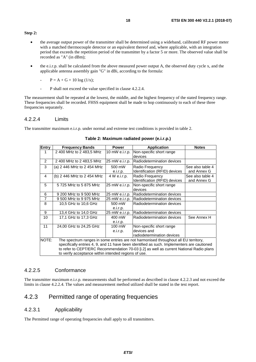- <span id="page-17-0"></span>• the average output power of the transmitter shall be determined using a wideband, calibrated RF power meter with a matched thermocouple detector or an equivalent thereof and, where applicable, with an integration period that exceeds the repetition period of the transmitter by a factor 5 or more. The observed value shall be recorded as "A" (in dBm);
- the e.i.r.p. shall be calculated from the above measured power output A, the observed duty cycle x, and the applicable antenna assembly gain "G" in dBi, according to the formula:
	- $P = A + G + 10 \log(1/x);$
	- P shall not exceed the value specified in clause 4.2.2.4.

The measurement shall be repeated at the lowest, the middle, and the highest frequency of the stated frequency range. These frequencies shall be recorded. FHSS equipment shall be made to hop continuously to each of these three frequencies separately.

## 4.2.2.4 Limits

The transmitter maximum e.i.r.p. under normal and extreme test conditions is provided in table 2.

| <b>Entry</b>   | <b>Frequency Bands</b>                                                                     | <b>Power</b>   | <b>Application</b>            | <b>Notes</b>     |
|----------------|--------------------------------------------------------------------------------------------|----------------|-------------------------------|------------------|
| 1              |                                                                                            |                |                               |                  |
|                | 2 400 MHz to 2 483,5 MHz                                                                   | 10 mW e.i.r.p. | Non-specific short range      |                  |
|                |                                                                                            |                | devices                       |                  |
| 2              | 2400 MHz to 2483.5 MHz                                                                     | 25 mW e.i.r.p. | Radiodetermination devices    |                  |
| 3              | (a) 2 446 MHz to 2 454 MHz                                                                 | 500 mW         | Radio Frequency               | See also table 4 |
|                |                                                                                            | e.i.r.p.       | Identification (RFID) devices | and Annex G      |
| 4              | (b) 2 446 MHz to 2 454 MHz                                                                 | 4 W e.i.r.p.   | Radio Frequency               | See also table 4 |
|                |                                                                                            |                | Identification (RFID) devices | and Annex G      |
| 5              | 5 725 MHz to 5 875 MHz                                                                     | 25 mW e.i.r.p. | Non-specific short range      |                  |
|                |                                                                                            |                | devices                       |                  |
| 6              | 9 200 MHz to 9 500 MHz                                                                     | 25 mW e.i.r.p. | Radiodetermination devices    |                  |
| $\overline{7}$ | 9 500 MHz to 9 975 MHz                                                                     | 25 mW e.i.r.p. | Radiodetermination devices    |                  |
| 8              | 10,5 GHz to 10,6 GHz                                                                       | 500 mW         | Radiodetermination devices    |                  |
|                |                                                                                            | e.i.r.p.       |                               |                  |
| 9              | 13,4 GHz to 14,0 GHz                                                                       | 25 mW e.i.r.p. | Radiodetermination devices    |                  |
| 10             | 17,1 GHz to 17,3 GHz                                                                       | 400 mW         | Radiodetermination devices    | See Annex H      |
|                |                                                                                            | e.i.r.p.       |                               |                  |
| 11             | 24,00 GHz to 24,25 GHz                                                                     | 100 mW         | Non-specific short range      |                  |
|                |                                                                                            | e.i.r.p.       | devices and                   |                  |
|                |                                                                                            |                | radiodetermination devices    |                  |
| NOTE:          | The spectrum ranges in some entries are not harmonised throughout all EU territory,        |                |                               |                  |
|                | specifically entries 4, 9, and 11 have been identified as such. Implementers are cautioned |                |                               |                  |
|                | to refer to CEPT/ERC Recommendation 70-03 [i.2] as well as current National Radio plans    |                |                               |                  |
|                | to verify acceptance within intended regions of use.                                       |                |                               |                  |

## **Table 2: Maximum radiated power (e.i.r.p.)**

## 4.2.2.5 Conformance

The transmitter maximum e.i.r.p. measurements shall be performed as described in clause 4.2.2.3 and not exceed the limits in clause 4.2.2.4. The values and measurement method utilized shall be stated in the test report.

## 4.2.3 Permitted range of operating frequencies

## 4.2.3.1 Applicability

The Permitted range of operating frequencies shall apply to all transmitters.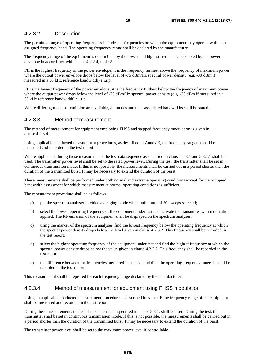## <span id="page-18-0"></span>4.2.3.2 Description

The permitted range of operating frequencies includes all frequencies on which the equipment may operate within an assigned frequency band. The operating frequency range shall be declared by the manufacturer.

The frequency range of the equipment is determined by the lowest and highest frequencies occupied by the power envelope in accordance with clause 4.2.2.4, table 2.

FH is the highest frequency of the power envelope, it is the frequency furthest above the frequency of maximum power where the output power envelope drops below the level of -75 dBm/Hz spectral power density (e.g. -30 dBm if measured in a 30 kHz reference bandwidth) e.i.r.p.

FL is the lowest frequency of the power envelope; it is the frequency furthest below the frequency of maximum power where the output power drops below the level of -75 dBm/Hz spectral power density (e.g. -30 dBm if measured in a 30 kHz reference bandwidth) e.i.r.p.

Where differing modes of emission are available, all modes and their associated bandwidths shall be stated.

## 4.2.3.3 Method of measurement

The method of measurement for equipment employing FHSS and stepped frequency modulation is given in clause 4.2.3.4.

Using applicable conducted measurement procedures, as described in Annex E, the frequency range(s) shall be measured and recorded in the test report.

Where applicable, during these measurements the test data sequence as specified in clauses 5.8.1 and 5.8.1.1 shall be used. The transmitter power level shall be set to the rated power level. During the test, the transmitter shall be set in continuous transmission mode. If this is not possible, the measurements shall be carried out in a period shorter than the duration of the transmitted burst. It may be necessary to extend the duration of the burst.

These measurements shall be performed under both normal and extreme operating conditions except for the occupied bandwidth assessment for which measurement at normal operating conditions is sufficient.

The measurement procedure shall be as follows:

- a) put the spectrum analyser in video averaging mode with a minimum of 50 sweeps selected;
- b) select the lowest operating frequency of the equipment under test and activate the transmitter with modulation applied. The RF emission of the equipment shall be displayed on the spectrum analyser;
- c) using the marker of the spectrum analyser, find the lowest frequency below the operating frequency at which the spectral power density drops below the level given in clause 4.2.3.2. This frequency shall be recorded in the test report;
- d) select the highest operating frequency of the equipment under test and find the highest frequency at which the spectral power density drops below the value given in clause 4.2.3.2. This frequency shall be recorded in the test report;
- e) the difference between the frequencies measured in steps c) and d) is the operating frequency range. It shall be recorded in the test report.

This measurement shall be repeated for each frequency range declared by the manufacturer.

## 4.2.3.4 Method of measurement for equipment using FHSS modulation

Using an applicable conducted measurement procedure as described in Annex E the frequency range of the equipment shall be measured and recorded in the test report.

During these measurements the test data sequence, as specified in clause 5.8.1, shall be used. During the test, the transmitter shall be set in continuous transmission mode. If this is not possible, the measurements shall be carried out in a period shorter than the duration of the transmitted burst. It may be necessary to extend the duration of the burst.

The transmitter power level shall be set to the maximum power level if controllable.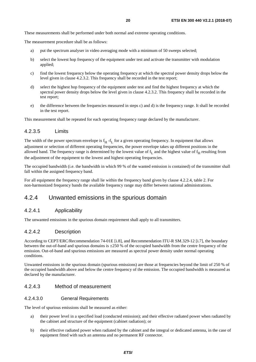<span id="page-19-0"></span>These measurements shall be performed under both normal and extreme operating conditions.

The measurement procedure shall be as follows:

- a) put the spectrum analyser in video averaging mode with a minimum of 50 sweeps selected;
- b) select the lowest hop frequency of the equipment under test and activate the transmitter with modulation applied;
- c) find the lowest frequency below the operating frequency at which the spectral power density drops below the level given in clause 4.2.3.2. This frequency shall be recorded in the test report;
- d) select the highest hop frequency of the equipment under test and find the highest frequency at which the spectral power density drops below the level given in clause 4.2.3.2. This frequency shall be recorded in the test report;
- e) the difference between the frequencies measured in steps c) and d) is the frequency range. It shall be recorded in the test report.

This measurement shall be repeated for each operating frequency range declared by the manufacturer.

## 4.2.3.5 Limits

The width of the power spectrum envelope is  $f_H$  -f<sub>L</sub> for a given operating frequency. In equipment that allows adjustment or selection of different operating frequencies, the power envelope takes up different positions in the allowed band. The frequency range is determined by the lowest value of  $f_L$  and the highest value of  $f_H$  resulting from the adjustment of the equipment to the lowest and highest operating frequencies.

The occupied bandwidth (i.e. the bandwidth in which 99 % of the wanted emission is contained) of the transmitter shall fall within the assigned frequency band.

For all equipment the frequency range shall lie within the frequency band given by clause 4.2.2.4, table 2. For non-harmonized frequency bands the available frequency range may differ between national administrations.

## 4.2.4 Unwanted emissions in the spurious domain

## 4.2.4.1 Applicability

The unwanted emissions in the spurious domain requirement shall apply to all transmitters.

## 4.2.4.2 Description

According to CEPT/ERC/Recommendation 74-01E [\[i.8](#page-11-0)], and Recommendation ITU-R SM.329-12 [\[i.7\]](#page-11-0), the boundary between the out-of-band and spurious domains is  $\pm 250$  % of the occupied bandwidth from the centre frequency of the emission. Out-of-band and spurious emissions are measured as spectral power density under normal operating conditions.

Unwanted emissions in the spurious domain (spurious emissions) are those at frequencies beyond the limit of 250 % of the occupied bandwidth above and below the centre frequency of the emission. The occupied bandwidth is measured as declared by the manufacturer.

## 4.2.4.3 Method of measurement

## 4.2.4.3.0 General Requirements

The level of spurious emissions shall be measured as either:

- a) their power level in a specified load (conducted emission); and their effective radiated power when radiated by the cabinet and structure of the equipment (cabinet radiation); or
- b) their effective radiated power when radiated by the cabinet and the integral or dedicated antenna, in the case of equipment fitted with such an antenna and no permanent RF connector.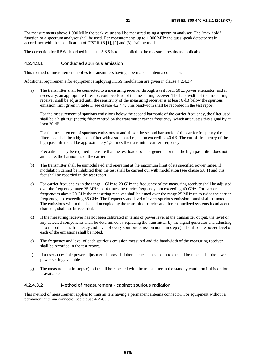<span id="page-20-0"></span>For measurements above 1 000 MHz the peak value shall be measured using a spectrum analyser. The "max hold" function of a spectrum analyser shall be used. For measurements up to 1 000 MHz the quasi-peak detector set in accordance with the specification of CISPR 16 [\[1](#page-10-0)], [\[2](#page-10-0)] and [\[3](#page-10-0)] shall be used.

The correction for RBW described in clause 5.8.5 is to be applied to the measured results as applicable.

### 4.2.4.3.1 Conducted spurious emission

This method of measurement applies to transmitters having a permanent antenna connector.

Additional requirements for equipment employing FHSS modulation are given in clause 4.2.4.3.4:

a) The transmitter shall be connected to a measuring receiver through a test load, 50  $\Omega$  power attenuator, and if necessary, an appropriate filter to avoid overload of the measuring receiver. The bandwidth of the measuring receiver shall be adjusted until the sensitivity of the measuring receiver is at least 6 dB below the spurious emission limit given in table 3, see clause 4.2.4.4. This bandwidth shall be recorded in the test report.

 For the measurement of spurious emissions below the second harmonic of the carrier frequency, the filter used shall be a high "Q" (notch) filter centred on the transmitter carrier frequency, which attenuates this signal by at least 30 dB.

 For the measurement of spurious emissions at and above the second harmonic of the carrier frequency the filter used shall be a high pass filter with a stop band rejection exceeding 40 dB. The cut-off frequency of the high pass filter shall be approximately 1,5 times the transmitter carrier frequency.

 Precautions may be required to ensure that the test load does not generate or that the high pass filter does not attenuate, the harmonics of the carrier.

- b) The transmitter shall be unmodulated and operating at the maximum limit of its specified power range. If modulation cannot be inhibited then the test shall be carried out with modulation (see clause 5.8.1) and this fact shall be recorded in the test report.
- c) For carrier frequencies in the range 1 GHz to 20 GHz the frequency of the measuring receiver shall be adjusted over the frequency range 25 MHz to 10 times the carrier frequency, not exceeding 40 GHz. For carrier frequencies above 20 GHz the measuring receiver shall be tuned over the range 25 MHz up to twice the carrier frequency, not exceeding 66 GHz. The frequency and level of every spurious emission found shall be noted. The emissions within the channel occupied by the transmitter carrier and, for channelized systems its adjacent channels, shall not be recorded.
- d) If the measuring receiver has not been calibrated in terms of power level at the transmitter output, the level of any detected components shall be determined by replacing the transmitter by the signal generator and adjusting it to reproduce the frequency and level of every spurious emission noted in step c). The absolute power level of each of the emissions shall be noted.
- e) The frequency and level of each spurious emission measured and the bandwidth of the measuring receiver shall be recorded in the test report.
- f) If a user accessible power adjustment is provided then the tests in steps c) to e) shall be repeated at the lowest power setting available.
- g) The measurement in steps c) to f) shall be repeated with the transmitter in the standby condition if this option is available.

## 4.2.4.3.2 Method of measurement - cabinet spurious radiation

This method of measurement applies to transmitters having a permanent antenna connector. For equipment without a permanent antenna connector see clause 4.2.4.3.3.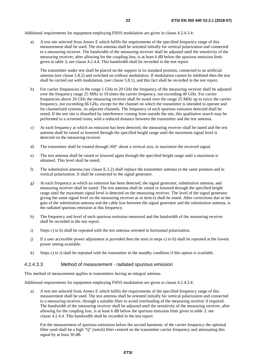<span id="page-21-0"></span>Additional requirements for equipment employing FHSS modulation are given in clause 4.2.4.3.4:

a) A test site selected from Annex E which fulfils the requirements of the specified frequency range of this measurement shall be used. The test antenna shall be oriented initially for vertical polarization and connected to a measuring receiver. The bandwidth of the measuring receiver shall be adjusted until the sensitivity of the measuring receiver, after allowing for the coupling loss, is at least 6 dB below the spurious emission limit given in table 3, see clause 4.2.4.4. This bandwidth shall be recorded in the test report.

 The transmitter under test shall be placed on the support in its standard position, connected to an artificial antenna (see clause 5.8.2) and switched on without modulation. If modulation cannot be inhibited then the test shall be carried out with modulation, (see clause 5.8.1), and this fact shall be recorded in the test report.

- b) For carrier frequencies in the range 1 GHz to 20 GHz the frequency of the measuring receiver shall be adjusted over the frequency range 25 MHz to 10 times the carrier frequency, not exceeding 40 GHz. For carrier frequencies above 20 GHz the measuring receiver shall be tuned over the range 25 MHz up to twice the carrier frequency, not exceeding 66 GHz, except for the channel on which the transmitter is intended to operate and for channelized systems, its adjacent channels. The frequency of each spurious emission detected shall be noted. If the test site is disturbed by interference coming from outside the site, this qualitative search may be performed in a screened room, with a reduced distance between the transmitter and the test antenna.
- c) At each frequency at which an emission has been detected, the measuring receiver shall be tuned and the test antenna shall be raised or lowered through the specified height range until the maximum signal level is detected on the measuring receiver.
- d) The transmitter shall be rotated through 360° about a vertical axis, to maximize the received signal.
- e) The test antenna shall be raised or lowered again through the specified height range until a maximum is obtained. This level shall be noted.
- f) The substitution antenna (see clause E.3.2) shall replace the transmitter antenna in the same position and in vertical polarization. It shall be connected to the signal generator.
- g) At each frequency at which an emission has been detected, the signal generator, substitution antenna, and measuring receiver shall be tuned. The test antenna shall be raised or lowered through the specified height range until the maximum signal level is detected on the measuring receiver. The level of the signal generator giving the same signal level on the measuring receiver as in item e) shall be noted. After corrections due to the gain of the substitution antenna and the cable loss between the signal generator and the substitution antenna, is the radiated spurious emission at this frequency.
- h) The frequency and level of each spurious emission measured and the bandwidth of the measuring receiver shall be recorded in the test report.
- i) Steps c) to h) shall be repeated with the test antenna oriented in horizontal polarization.
- j) If a user accessible power adjustment is provided then the tests in steps c) to h) shall be repeated at the lowest power setting available.
- k) Steps c) to i) shall be repeated with the transmitter in the standby condition if this option is available.

#### 4.2.4.3.3 Method of measurement - radiated spurious emission

This method of measurement applies to transmitters having an integral antenna.

Additional requirements for equipment employing FHSS modulation are given in clause 4.2.4.3.4:

a) A test site selected from Annex E which fulfils the requirements of the specified frequency range of this measurement shall be used. The test antenna shall be oriented initially for vertical polarization and connected to a measuring receiver, through a suitable filter to avoid overloading of the measuring receiver if required. The bandwidth of the measuring receiver shall be adjusted until the sensitivity of the measuring receiver, after allowing for the coupling loss, is at least 6 dB below the spurious emission limit given in table 3, see clause 4.2.4.4. This bandwidth shall be recorded in the test report.

 For the measurement of spurious emissions below the second harmonic of the carrier frequency the optional filter used shall be a high "Q" (notch) filter centred on the transmitter carrier frequency and attenuating this signal by at least 30 dB.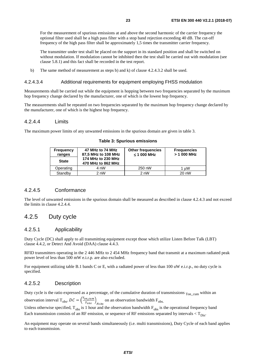<span id="page-22-0"></span> For the measurement of spurious emissions at and above the second harmonic of the carrier frequency the optional filter used shall be a high pass filter with a stop band rejection exceeding 40 dB. The cut-off frequency of the high pass filter shall be approximately 1,5 times the transmitter carrier frequency.

 The transmitter under test shall be placed on the support in its standard position and shall be switched on without modulation. If modulation cannot be inhibited then the test shall be carried out with modulation (see clause 5.8.1) and this fact shall be recorded in the test report.

b) The same method of measurement as steps b) and k) of clause 4.2.4.3.2 shall be used.

#### 4.2.4.3.4 Additional requirements for equipment employing FHSS modulation

Measurements shall be carried out while the equipment is hopping between two frequencies separated by the maximum hop frequency change declared by the manufacturer, one of which is the lowest hop frequency.

The measurements shall be repeated on two frequencies separated by the maximum hop frequency change declared by the manufacturer, one of which is the highest hop frequency.

## 4.2.4.4 Limits

The maximum power limits of any unwanted emissions in the spurious domain are given in table 3.

| <b>Frequency</b><br>ranges | 47 MHz to 74 MHz<br>87,5 MHz to 108 MHz  | <b>Other frequencies</b><br>$\leq$ 1 000 MHz | <b>Frequencies</b><br>$>$ 1 000 MHz |
|----------------------------|------------------------------------------|----------------------------------------------|-------------------------------------|
| <b>State</b>               | 174 MHz to 230 MHz<br>470 MHz to 862 MHz |                                              |                                     |
| Operating                  | 4 nW                                     | 250 nW                                       | $1 \mu W$                           |
| Standby                    | 2 nW                                     | 2 nW                                         | 20 nW                               |

#### **Table 3: Spurious emissions**

### 4.2.4.5 Conformance

The level of unwanted emissions in the spurious domain shall be measured as described in clause 4.2.4.3 and not exceed the limits in clause 4.2.4.4.

## 4.2.5 Duty cycle

## 4.2.5.1 Applicability

Duty Cycle (DC) shall apply to all transmitting equipment except those which utilize Listen Before Talk (LBT) clause 4.4.2, or Detect And Avoid (DAA) clause 4.4.3.

RFID transmitters operating in the 2 446 MHz to 2 454 MHz frequency band that transmit at a maximum radiated peak power level of less than 500 mW e.i.r.p. are also excluded.

For equipment utilizing table B.1 bands C or E, with a radiated power of less than 100 uW e.i.r.p., no duty cycle is specified.

## 4.2.5.2 Description

Duty cycle is the ratio expressed as a percentage, of the cumulative duration of transmissions  $_{\text{Ton-cum}}$  within an observation interval  $T_{obs}$ .  $DC = \left(\frac{T_{on\_cum}}{T_{obs}}\right)_{Fobs}$  on an observation bandwidth  $F_{obs}$ .<br>Unless otherwise specified  $T_{obs}$  is 1 hour and the observation bandwidth  $F_{obs}$ . Unless otherwise specified,  $T_{obs}$  is 1 hour and the observation bandwidth  $F_{obs}$  is the operational frequency band Each transmission consists of an RF emission, or sequence of RF emissions separated by intervals  $\langle T_{\text{Disc}}\rangle$ 

An equipment may operate on several bands simultaneously (i.e. multi transmissions), Duty Cycle of each band applies to each transmission.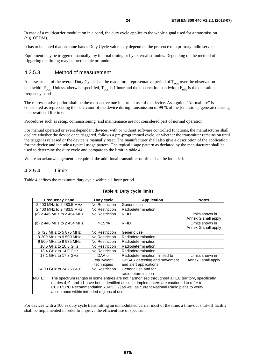<span id="page-23-0"></span>In case of a multicarrier modulation in a band, the duty cycle applies to the whole signal used for a transmission (e.g. OFDM).

It has to be noted that on some bands Duty Cycle value may depend on the presence of a primary radio service.

Equipment may be triggered manually, by internal timing or by external stimulus. Depending on the method of triggering the timing may be predictable or random.

## 4.2.5.3 Method of measurement

An assessment of the overall Duty Cycle shall be made for a representative period of  $T_{obs}$  over the observation bandwidth  $F_{obs}$ . Unless otherwise specified,  $T_{obs}$  is 1 hour and the observation bandwidth  $F_{obs}$  is the operational frequency band.

The representative period shall be the most active one in normal use of the device. As a guide "Normal use" is considered as representing the behaviour of the device during transmission of 99 % of the [emissions] generated during its operational lifetime.

Procedures such as setup, commissioning, and maintenance are not considered part of normal operation.

For manual operated or event dependant devices, with or without software controlled functions, the manufacturer shall declare whether the device once triggered, follows a pre-programmed cycle, or whether the transmitter remains on until the trigger is released or the device is manually reset. The manufacturer shall also give a description of the application for the device and include a typical usage pattern. The typical usage pattern as declared by the manufacturer shall be used to determine the duty cycle and compare to the limit in table 4.

Where an acknowledgement is required, the additional transmitter on-time shall be included.

## 4.2.5.4 Limits

Table 4 defines the maximum duty cycle within a 1 hour period.

| <b>Frequency Band</b>                                                                                     | Duty cycle     | <b>Application</b>                  | <b>Notes</b>                           |
|-----------------------------------------------------------------------------------------------------------|----------------|-------------------------------------|----------------------------------------|
| 2 400 MHz to 2 483.5 MHz                                                                                  | No Restriction | Generic use                         |                                        |
| 2 400 MHz to 2 483,5 MHz                                                                                  | No Restriction | Radiodetermination                  |                                        |
| (a) 2 446 MHz to 2 454 MHz                                                                                | No Restriction | <b>RFID</b>                         | Limits shown in<br>Annex G shall apply |
| (b) 2 446 MHz to 2 454 MHz                                                                                | $\leq 15 \%$   | <b>RFID</b>                         | Limits shown in<br>Annex G shall apply |
| 5 725 MHz to 5 875 MHz                                                                                    | No Restriction | Generic use                         |                                        |
| 9 200 MHz to 9 500 MHz                                                                                    | No Restriction | Radiodetermination                  |                                        |
| 9 500 MHz to 9 975 MHz                                                                                    | No Restriction | Radiodetermination                  |                                        |
| 10,5 GHz to 10,6 GHz                                                                                      | No Restriction | Radiodetermination                  |                                        |
| 13,4 GHz to 14,0 GHz                                                                                      | No Restriction | Radiodetermination                  |                                        |
| 17,1 GHz to 17,3 GHz                                                                                      | DAA or         | Radiodetermination, limited to      | Limits shown in                        |
|                                                                                                           | equivalent     | <b>GBSAR</b> detecting and movement | Annex I shall apply                    |
|                                                                                                           | techniques     | and alert applications              |                                        |
| 24,00 GHz to 24,25 GHz                                                                                    | No Restriction | Generic use and for                 |                                        |
|                                                                                                           |                | radiodetermination                  |                                        |
| NOTE:<br>The spectrum ranges in some entries are not harmonised throughout all EU territory, specifically |                |                                     |                                        |
| entries 4, 9, and 11 have been identified as such. Implementers are cautioned to refer to                 |                |                                     |                                        |
| CEPT/ERC Recommendation 70-03 [i.2] as well as current National Radio plans to verify                     |                |                                     |                                        |
| acceptance within intended regions of use.                                                                |                |                                     |                                        |

#### **Table 4: Duty cycle limits**

For devices with a 100 % duty cycle transmitting an unmodulated carrier most of the time, a time-out shut-off facility shall be implemented in order to improve the efficient use of spectrum.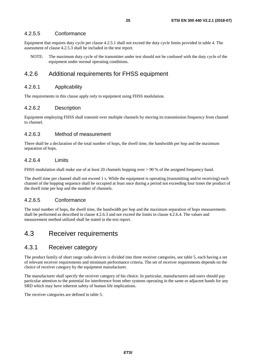## <span id="page-24-0"></span>4.2.5.5 Conformance

Equipment that requires duty cycle per clause 4.2.5.1 shall not exceed the duty cycle limits provided in table 4. The assessment of clause 4.2.5.3 shall be included in the test report.

NOTE: The maximum duty cycle of the transmitter under test should not be confused with the duty cycle of the equipment under normal operating conditions.

## 4.2.6 Additional requirements for FHSS equipment

### 4.2.6.1 Applicability

The requirements in this clause apply only to equipment using FHSS modulation.

## 4.2.6.2 Description

Equipment employing FHSS shall transmit over multiple channels by moving its transmission frequency from channel to channel.

## 4.2.6.3 Method of measurement

There shall be a declaration of the total number of hops, the dwell time, the bandwidth per hop and the maximum separation of hops.

## 4.2.6.4 Limits

FHSS modulation shall make use of at least 20 channels hopping over > 90 % of the assigned frequency band.

The dwell time per channel shall not exceed 1 s. While the equipment is operating (transmitting and/or receiving) each channel of the hopping sequence shall be occupied at least once during a period not exceeding four times the product of the dwell time per hop and the number of channels.

## 4.2.6.5 Conformance

The total number of hops, the dwell time, the bandwidth per hop and the maximum separation of hops measurements shall be performed as described in clause 4.2.6.3 and not exceed the limits in clause 4.2.6.4. The values and measurement method utilized shall be stated in the test report.

## 4.3 Receiver requirements

## 4.3.1 Receiver category

The product family of short range radio devices is divided into three receiver categories, see table 5, each having a set of relevant receiver requirements and minimum performance criteria. The set of receiver requirements depends on the choice of receiver category by the equipment manufacturer.

The manufacturer shall specify the receiver category of his choice. In particular, manufacturers and users should pay particular attention to the potential for interference from other systems operating in the same or adjacent bands for any SRD which may have inherent safety of human life implications.

The receiver categories are defined in table 5.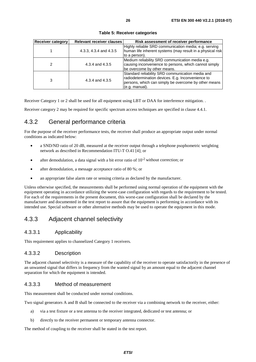<span id="page-25-0"></span>

| <b>Receiver category</b> | <b>Relevant receiver clauses</b> | Risk assessment of receiver performance                                                                                                                                           |
|--------------------------|----------------------------------|-----------------------------------------------------------------------------------------------------------------------------------------------------------------------------------|
|                          | 4.3.3, 4.3.4 and 4.3.5           | Highly reliable SRD communication media; e.g. serving<br>human life inherent systems (may result in a physical risk<br>to a person).                                              |
| 2                        | 4.3.4 and 4.3.5                  | Medium reliability SRD communication media e.g.<br>causing inconvenience to persons, which cannot simply<br>be overcome by other means.                                           |
| 3                        | 4.3.4 and 4.3.5                  | Standard reliability SRD communication media and<br>radiodetermination devices. E.g. Inconvenience to<br>persons, which can simply be overcome by other means<br>$(e.q.$ manual). |

**Table 5: Receiver categories** 

Receiver Category 1 or 2 shall be used for all equipment using LBT or DAA for interference mitigation. .

Receiver category 2 may be required for specific spectrum access techniques are specified in clause 4.4.1.

## 4.3.2 General performance criteria

For the purpose of the receiver performance tests, the receiver shall produce an appropriate output under normal conditions as indicated below:

- a SND/ND ratio of 20 dB, measured at the receiver output through a telephone psophometric weighting network as described in Recommendation ITU-T O.41 [[4](#page-10-0)]; or
- after demodulation, a data signal with a bit error ratio of  $10^{-2}$  without correction; or
- after demodulation, a message acceptance ratio of 80 %; or
- an appropriate false alarm rate or sensing criteria as declared by the manufacturer.

Unless otherwise specified, the measurements shall be performed using normal operation of the equipment with the equipment operating in accordance utilizing the worst-case configuration with regards to the requirement to be tested. For each of the requirements in the present document, this worst-case configuration shall be declared by the manufacturer and documented in the test report to assure that the equipment is performing in accordance with its intended use. Special software or other alternative methods may be used to operate the equipment in this mode.

## 4.3.3 Adjacent channel selectivity

## 4.3.3.1 Applicability

This requirement applies to channelized Category 1 receivers.

## 4.3.3.2 Description

The adjacent channel selectivity is a measure of the capability of the receiver to operate satisfactorily in the presence of an unwanted signal that differs in frequency from the wanted signal by an amount equal to the adjacent channel separation for which the equipment is intended.

## 4.3.3.3 Method of measurement

This measurement shall be conducted under normal conditions.

Two signal generators A and B shall be connected to the receiver via a combining network to the receiver, either:

- a) via a test fixture or a test antenna to the receiver integrated, dedicated or test antenna; or
- b) directly to the receiver permanent or temporary antenna connector.

The method of coupling to the receiver shall be stated in the test report.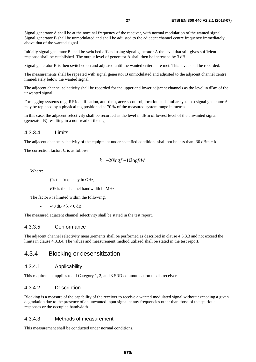<span id="page-26-0"></span>Signal generator A shall be at the nominal frequency of the receiver, with normal modulation of the wanted signal. Signal generator B shall be unmodulated and shall be adjusted to the adjacent channel centre frequency immediately above that of the wanted signal.

Initially signal generator B shall be switched off and using signal generator A the level that still gives sufficient response shall be established. The output level of generator A shall then be increased by 3 dB.

Signal generator B is then switched on and adjusted until the wanted criteria are met. This level shall be recorded.

The measurements shall be repeated with signal generator B unmodulated and adjusted to the adjacent channel centre immediately below the wanted signal.

The adjacent channel selectivity shall be recorded for the upper and lower adjacent channels as the level in dBm of the unwanted signal.

For tagging systems (e.g. RF identification, anti-theft, access control, location and similar systems) signal generator A may be replaced by a physical tag positioned at 70 % of the measured system range in metres.

In this case, the adjacent selectivity shall be recorded as the level in dBm of lowest level of the unwanted signal (generator B) resulting in a non-read of the tag.

### 4.3.3.4 Limits

The adjacent channel selectivity of the equipment under specified conditions shall not be less than  $-30$  dBm  $+ k$ .

The correction factor, *k,* is as follows:

$$
k = -20\log f - 10\log BW
$$

Where:

- *f* is the frequency in GHz;
- *BW* is the channel bandwidth in MHz.

The factor  $k$  is limited within the following:

 $-40$  dB  $< k < 0$  dB.

The measured adjacent channel selectivity shall be stated in the test report.

### 4.3.3.5 Conformance

The adjacent channel selectivity measurements shall be performed as described in clause 4.3.3.3 and not exceed the limits in clause 4.3.3.4. The values and measurement method utilized shall be stated in the test report.

## 4.3.4 Blocking or desensitization

## 4.3.4.1 Applicability

This requirement applies to all Category 1, 2, and 3 SRD communication media receivers.

### 4.3.4.2 Description

Blocking is a measure of the capability of the receiver to receive a wanted modulated signal without exceeding a given degradation due to the presence of an unwanted input signal at any frequencies other than those of the spurious responses or the occupied bandwidth.

## 4.3.4.3 Methods of measurement

This measurement shall be conducted under normal conditions.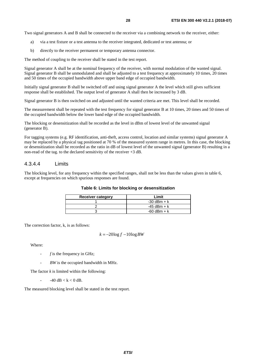<span id="page-27-0"></span>Two signal generators A and B shall be connected to the receiver via a combining network to the receiver, either:

- a) via a test fixture or a test antenna to the receiver integrated, dedicated or test antenna; or
- b) directly to the receiver permanent or temporary antenna connector.

The method of coupling to the receiver shall be stated in the test report.

Signal generator A shall be at the nominal frequency of the receiver, with normal modulation of the wanted signal. Signal generator B shall be unmodulated and shall be adjusted to a test frequency at approximately 10 times, 20 times and 50 times of the occupied bandwidth above upper band edge of occupied bandwidth.

Initially signal generator B shall be switched off and using signal generator A the level which still gives sufficient response shall be established. The output level of generator A shall then be increased by 3 dB.

Signal generator B is then switched on and adjusted until the wanted criteria are met. This level shall be recorded.

The measurement shall be repeated with the test frequency for signal generator B at 10 times, 20 times and 50 times of the occupied bandwidth below the lower band edge of the occupied bandwidth.

The blocking or desensitization shall be recorded as the level in dBm of lowest level of the unwanted signal (generator B).

For tagging systems (e.g. RF identification, anti-theft, access control, location and similar systems) signal generator A may be replaced by a physical tag positioned at 70 % of the measured system range in metres. In this case, the blocking or desensitization shall be recorded as the ratio in dB of lowest level of the unwanted signal (generator B) resulting in a non-read of the tag. to the declared sensitivity of the receiver  $+3$  dB.

#### 4.3.4.4 Limits

The blocking level, for any frequency within the specified ranges, shall not be less than the values given in table 6, except at frequencies on which spurious responses are found.

#### **Table 6: Limits for blocking or desensitization**

| <b>Receiver category</b> | Limit           |
|--------------------------|-----------------|
|                          | $-30$ dBm + k   |
|                          | $-45$ dBm + k   |
|                          | $-60$ dBm $+ k$ |

The correction factor, k, is as follows:

$$
k = -20\log f - 10\log BW
$$

Where:

- *f* is the frequency in GHz;
- *BW* is the occupied bandwidth in MHz.

The factor  $k$  is limited within the following:

 $-40$  dB < k < 0 dB.

The measured blocking level shall be stated in the test report.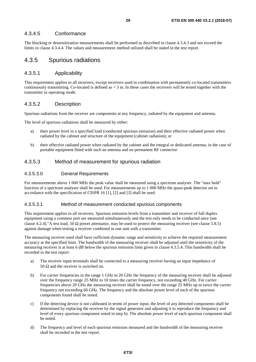## <span id="page-28-0"></span>4.3.4.5 Conformance

The blocking or desensitization measurements shall be performed as described in clause 4.3.4.3 and not exceed the limits in clause 4.3.4.4. The values and measurement method utilized shall be stated in the test report.

## 4.3.5 Spurious radiations

## 4.3.5.1 Applicability

This requirement applies to all receivers, except receivers used in combination with permanently co-located transmitters continuously transmitting. Co-located is defined as  $<$  3 m. In these cases the receivers will be tested together with the transmitter in operating mode.

### 4.3.5.2 Description

Spurious radiations from the receiver are components at any frequency, radiated by the equipment and antenna.

The level of spurious radiations shall be measured by either:

- a) their power level in a specified load (conducted spurious emission) and their effective radiated power when radiated by the cabinet and structure of the equipment (cabinet radiation); or
- b) their effective radiated power when radiated by the cabinet and the integral or dedicated antenna, in the case of portable equipment fitted with such an antenna and no permanent RF connector.

### 4.3.5.3 Method of measurement for spurious radiation

#### 4.3.5.3.0 General Requirements

For measurements above 1 000 MHz the peak value shall be measured using a spectrum analyser. The "max hold" function of a spectrum analyser shall be used. For measurements up to 1 000 MHz the quasi-peak detector set in accordance with the specification of CISPR 16 [\[1](#page-10-0)], [\[2](#page-10-0)] and [\[3](#page-10-0)] shall be used.

#### 4.3.5.3.1 Method of measurement conducted spurious components

This requirement applies to all receivers. Spurious emission levels from a transmitter and receiver of full duplex equipment using a common port are measured simultaneously and the test only needs to be conducted once (see clause 4.2.4)."A test load, 50  $\Omega$  power attenuator, may be used to protect the measuring receiver (see clause 5.8.5) against damage when testing a receiver combined in one unit with a transmitter.

The measuring receiver used shall have sufficient dynamic range and sensitivity to achieve the required measurement accuracy at the specified limit. The bandwidth of the measuring receiver shall be adjusted until the sensitivity of the measuring receiver is at least 6 dB below the spurious emission limit given in clause 4.3.5.4. This bandwidth shall be recorded in the test report:

- a) The receiver input terminals shall be connected to a measuring receiver having an input impedance of 50  $\Omega$  and the receiver is switched on.
- b) For carrier frequencies in the range 1 GHz to 20 GHz the frequency of the measuring receiver shall be adjusted over the frequency range 25 MHz to 10 times the carrier frequency, not exceeding 40 GHz. For carrier frequencies above 20 GHz the measuring receiver shall be tuned over the range 25 MHz up to twice the carrier frequency not exceeding 66 GHz. The frequency and the absolute power level of each of the spurious components found shall be noted.
- c) If the detecting device is not calibrated in terms of power input, the level of any detected components shall be determined by replacing the receiver by the signal generator and adjusting it to reproduce the frequency and level of every spurious component noted in step b). The absolute power level of each spurious component shall be noted.
- d) The frequency and level of each spurious emission measured and the bandwidth of the measuring receiver shall be recorded in the test report.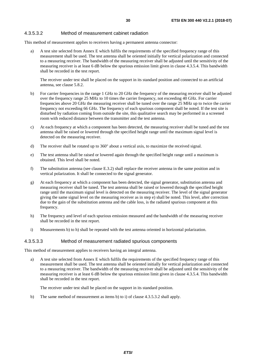## <span id="page-29-0"></span>4.3.5.3.2 Method of measurement cabinet radiation

This method of measurement applies to receivers having a permanent antenna connector:

a) A test site selected from Annex E which fulfils the requirements of the specified frequency range of this measurement shall be used. The test antenna shall be oriented initially for vertical polarization and connected to a measuring receiver. The bandwidth of the measuring receiver shall be adjusted until the sensitivity of the measuring receiver is at least 6 dB below the spurious emission limit given in clause 4.3.5.4. This bandwidth shall be recorded in the test report.

 The receiver under test shall be placed on the support in its standard position and connected to an artificial antenna, see clause 5.8.2.

- b) For carrier frequencies in the range 1 GHz to 20 GHz the frequency of the measuring receiver shall be adjusted over the frequency range 25 MHz to 10 times the carrier frequency, not exceeding 40 GHz. For carrier frequencies above 20 GHz the measuring receiver shall be tuned over the range 25 MHz up to twice the carrier frequency not exceeding 66 GHz. The frequency of each spurious component shall be noted. If the test site is disturbed by radiation coming from outside the site, this qualitative search may be performed in a screened room with reduced distance between the transmitter and the test antenna.
- c) At each frequency at which a component has been detected, the measuring receiver shall be tuned and the test antenna shall be raised or lowered through the specified height range until the maximum signal level is detected on the measuring receiver.
- d) The receiver shall be rotated up to 360° about a vertical axis, to maximize the received signal.
- e) The test antenna shall be raised or lowered again through the specified height range until a maximum is obtained. This level shall be noted.
- f) The substitution antenna (see clause E.3.2) shall replace the receiver antenna in the same position and in vertical polarization. It shall be connected to the signal generator.
- g) At each frequency at which a component has been detected, the signal generator, substitution antenna and measuring receiver shall be tuned. The test antenna shall be raised or lowered through the specified height range until the maximum signal level is detected on the measuring receiver. The level of the signal generator giving the same signal level on the measuring receiver as in step e) shall be noted. This level, after correction due to the gain of the substitution antenna and the cable loss, is the radiated spurious component at this frequency.
- h) The frequency and level of each spurious emission measured and the bandwidth of the measuring receiver shall be recorded in the test report.
- i) Measurements b) to h) shall be repeated with the test antenna oriented in horizontal polarization.

#### 4.3.5.3.3 Method of measurement radiated spurious components

This method of measurement applies to receivers having an integral antenna.

a) A test site selected from Annex E which fulfils the requirements of the specified frequency range of this measurement shall be used. The test antenna shall be oriented initially for vertical polarization and connected to a measuring receiver. The bandwidth of the measuring receiver shall be adjusted until the sensitivity of the measuring receiver is at least 6 dB below the spurious emission limit given in clause 4.3.5.4. This bandwidth shall be recorded in the test report.

The receiver under test shall be placed on the support in its standard position.

b) The same method of measurement as items b) to i) of clause 4.3.5.3.2 shall apply.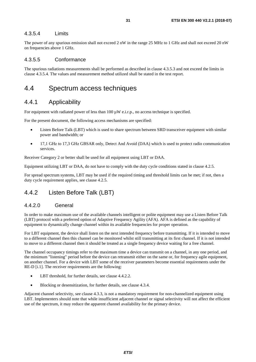## <span id="page-30-0"></span>4.3.5.4 Limits

The power of any spurious emission shall not exceed 2 nW in the range 25 MHz to 1 GHz and shall not exceed 20 nW on frequencies above 1 GHz.

## 4.3.5.5 Conformance

The spurious radiations measurements shall be performed as described in clause 4.3.5.3 and not exceed the limits in clause 4.3.5.4. The values and measurement method utilized shall be stated in the test report.

## 4.4 Spectrum access techniques

## 4.4.1 Applicability

For equipment with radiated power of less than  $100 \mu W$  e.i.r.p., no access technique is specified.

For the present document, the following access mechanisms are specified:

- Listen Before Talk (LBT) which is used to share spectrum between SRD transceiver equipment with similar power and bandwidth; or
- 17,1 GHz to 17,3 GHz GBSAR only, Detect And Avoid (DAA) which is used to protect radio communication services.

Receiver Category 2 or better shall be used for all equipment using LBT or DAA.

Equipment utilizing LBT or DAA, do not have to comply with the duty cycle conditions stated in clause 4.2.5.

For spread spectrum systems, LBT may be used if the required timing and threshold limits can be met; if not, then a duty cycle requirement applies, see clause 4.2.5.

## 4.4.2 Listen Before Talk (LBT)

## 4.4.2.0 General

In order to make maximum use of the available channels intelligent or polite equipment may use a Listen Before Talk (LBT) protocol with a preferred option of Adaptive Frequency Agility (AFA). AFA is defined as the capability of equipment to dynamically change channel within its available frequencies for proper operation.

For LBT equipment, the device shall listen on the next intended frequency before transmitting. If it is intended to move to a different channel then this channel can be monitored whilst still transmitting at its first channel. If it is not intended to move to a different channel then it should be treated as a single frequency device waiting for a free channel.

The channel occupancy timings refer to the maximum time a device can transmit on a channel, in any one period, and the minimum "listening" period before the device can retransmit either on the same or, for frequency agile equipment, on another channel. For a device with LBT some of the receiver parameters become essential requirements under the RE-D [\[i.1\]](#page-10-0). The receiver requirements are the following:

- LBT threshold, for further details, see clause 4.4.2.2.
- Blocking or desensitization, for further details, see clause 4.3.4.

Adjacent channel selectivity, see clause 4.3.3, is not a mandatory requirement for non-channelized equipment using LBT. Implementers should note that while insufficient adjacent channel or signal selectivity will not affect the efficient use of the spectrum, it may reduce the apparent channel availability for the primary device.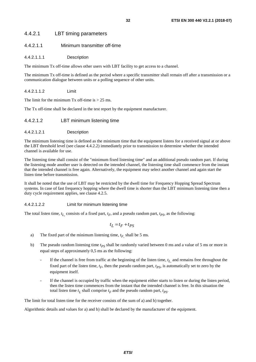## <span id="page-31-0"></span>4.4.2.1 LBT timing parameters

### 4.4.2.1.1 Minimum transmitter off-time

#### 4.4.2.1.1.1 Description

The minimum Tx off-time allows other users with LBT facility to get access to a channel.

The minimum Tx off-time is defined as the period where a specific transmitter shall remain off after a transmission or a communication dialogue between units or a polling sequence of other units.

#### 4.4.2.1.1.2 Limit

The limit for the minimum  $Tx$  off-time is  $> 25$  ms.

The Tx off-time shall be declared in the test report by the equipment manufacturer.

#### 4.4.2.1.2 LBT minimum listening time

#### 4.4.2.1.2.1 Description

The minimum listening time is defined as the minimum time that the equipment listens for a received signal at or above the LBT threshold level (see clause 4.4.2.2) immediately prior to transmission to determine whether the intended channel is available for use.

The listening time shall consist of the "minimum fixed listening time" and an additional pseudo random part. If during the listening mode another user is detected on the intended channel, the listening time shall commence from the instant that the intended channel is free again. Alternatively, the equipment may select another channel and again start the listen time before transmission.

It shall be noted that the use of LBT may be restricted by the dwell time for Frequency Hopping Spread Spectrum systems. In case of fast frequency hopping where the dwell time is shorter than the LBT minimum listening time then a duty cycle requirement applies, see clause 4.2.5.

#### 4.4.2.1.2.2 Limit for minimum listening time

The total listen time,  $t_L$  consists of a fixed part,  $t_F$ , and a pseudo random part,  $t_{PS}$ , as the following:

$$
t_L = t_F + t_{PS}
$$

- a) The fixed part of the minimum listening time,  $t_F$ , shall be 5 ms.
- b) The pseudo random listening time  $t_{PS}$  shall be randomly varied between 0 ms and a value of 5 ms or more in equal steps of approximately 0,5 ms as the following:
	- If the channel is free from traffic at the beginning of the listen time, *t L*, and remains free throughout the fixed part of the listen time,  $t_F$ , then the pseudo random part,  $t_{PS}$ , is automatically set to zero by the equipment itself.
	- If the channel is occupied by traffic when the equipment either starts to listen or during the listen period, then the listen time commences from the instant that the intended channel is free. In this situation the total listen time  $t_L$  shall comprise  $t_F$  and the pseudo random part,  $t_{PS}$ .

The limit for total listen time for the receiver consists of the sum of a) and b) together.

Algorithmic details and values for a) and b) shall be declared by the manufacturer of the equipment.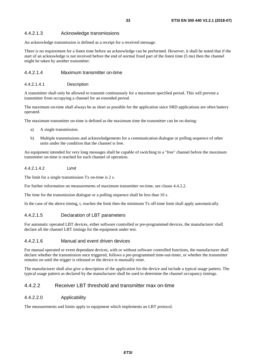## <span id="page-32-0"></span>4.4.2.1.3 Acknowledge transmissions

An acknowledge transmission is defined as a receipt for a received message.

There is no requirement for a listen time before an acknowledge can be performed. However, it shall be noted that if the start of an acknowledge is not received before the end of normal fixed part of the listen time (5 ms) then the channel might be taken by another transmitter.

### 4.4.2.1.4 Maximum transmitter on-time

#### 4.4.2.1.4.1 Description

A transmitter shall only be allowed to transmit continuously for a maximum specified period. This will prevent a transmitter from occupying a channel for an extended period.

The maximum on-time shall always be as short as possible for the application since SRD applications are often battery operated.

The maximum transmitter on-time is defined as the maximum time the transmitter can be on during:

- a) A single transmission.
- b) Multiple transmissions and acknowledgements for a communication dialogue or polling sequence of other units under the condition that the channel is free.

An equipment intended for very long messages shall be capable of switching to a "free" channel before the maximum transmitter on-time is reached for each channel of operation.

### 4.4.2.1.4.2 Limit

The limit for a single transmission Tx on-time is 2 s.

For further information on measurements of maximum transmitter on-time, see clause 4.4.2.2.

The time for the transmission dialogue or a polling sequence shall be less than 10 s.

In the case of the above timing, t, reaches the limit then the minimum Tx off-time limit shall apply automatically.

## 4.4.2.1.5 Declaration of LBT parameters

For automatic operated LBT devices, either software controlled or pre-programmed devices, the manufacturer shall declare all the channel LBT timings for the equipment under test.

#### 4.4.2.1.6 Manual and event driven devices

For manual operated or event dependant devices, with or without software controlled functions, the manufacturer shall declare whether the transmission once triggered, follows a pre-programmed time-out-timer, or whether the transmitter remains on until the trigger is released or the device is manually reset.

The manufacturer shall also give a description of the application for the device and include a typical usage pattern. The typical usage pattern as declared by the manufacturer shall be used to determine the channel occupancy timings.

## 4.4.2.2 Receiver LBT threshold and transmitter max on-time

## 4.4.2.2.0 Applicability

The measurements and limits apply to equipment which implements an LBT protocol.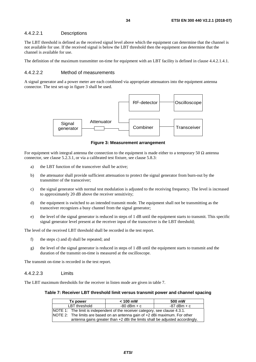## <span id="page-33-0"></span>4.4.2.2.1 Descriptions

The LBT threshold is defined as the received signal level above which the equipment can determine that the channel is not available for use. If the received signal is below the LBT threshold then the equipment can determine that the channel is available for use.

The definition of the maximum transmitter on-time for equipment with an LBT facility is defined in clause 4.4.2.1.4.1.

## 4.4.2.2.2 Method of measurements

A signal generator and a power meter are each combined via appropriate attenuators into the equipment antenna connector. The test set-up in figure 3 shall be used.



**Figure 3: Measurement arrangement** 

For equipment with integral antenna the connection to the equipment is made either to a temporary 50  $\Omega$  antenna connector, see clause 5.2.3.1, or via a calibrated test fixture, see clause 5.8.3:

- a) the LBT function of the transceiver shall be active;
- b) the attenuator shall provide sufficient attenuation to protect the signal generator from burn-out by the transmitter of the transceiver;
- c) the signal generator with normal test modulation is adjusted to the receiving frequency. The level is increased to approximately 20 dB above the receiver sensitivity;
- d) the equipment is switched to an intended transmit mode. The equipment shall not be transmitting as the transceiver recognizes a busy channel from the signal generator;
- e) the level of the signal generator is reduced in steps of 1 dB until the equipment starts to transmit. This specific signal generator level present at the receiver input of the transceiver is the LBT threshold;

The level of the received LBT threshold shall be recorded in the test report.

- f) the steps c) and d) shall be repeated; and
- g) the level of the signal generator is reduced in steps of 1 dB until the equipment starts to transmit and the duration of the transmit on-time is measured at the oscilloscope.

The transmit on-time is recorded in the test report.

#### 4.4.2.2.3 Limits

The LBT maximum thresholds for the receiver in listen mode are given in table 7.

#### **Table 7: Receiver LBT threshold limit versus transmit power and channel spacing**

| Tx power                                                                      | $< 100$ mW                                                                   | 500 mW      |  |  |
|-------------------------------------------------------------------------------|------------------------------------------------------------------------------|-------------|--|--|
| LBT threshold                                                                 | -80 dBm + c                                                                  | -87 dBm + c |  |  |
| NOTE 1: The limit is independent of the receiver category, see clause 4.3.1.  |                                                                              |             |  |  |
|                                                                               | NOTE 2: The limits are based on an antenna gain of +2 dBi maximum. For other |             |  |  |
| antenna gains greater than $+2$ dBi the limits shall be adjusted accordingly. |                                                                              |             |  |  |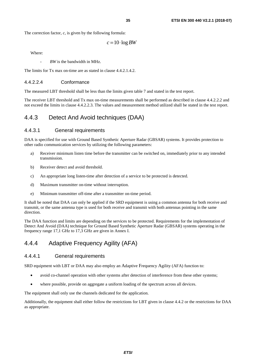<span id="page-34-0"></span>The correction factor, *c*, is given by the following formula:

 $c = 10$  log *BW* 

Where:

*- BW* is the bandwidth in MHz.

The limits for Tx max on-time are as stated in clause 4.4.2.1.4.2.

#### 4.4.2.2.4 Conformance

The measured LBT threshold shall be less than the limits given table 7 and stated in the test report.

The receiver LBT threshold and Tx max on-time measurements shall be performed as described in clause 4.4.2.2.2 and not exceed the limits in clause 4.4.2.2.3. The values and measurement method utilized shall be stated in the test report.

## 4.4.3 Detect And Avoid techniques (DAA)

## 4.4.3.1 General requirements

DAA is specified for use with Ground Based Synthetic Aperture Radar (GBSAR) systems. It provides protection to other radio communication services by utilizing the following parameters:

- a) Receiver minimum listen time before the transmitter can be switched on, immediately prior to any intended transmission.
- b) Receiver detect and avoid threshold.
- c) An appropriate long listen-time after detection of a service to be protected is detected.
- d) Maximum transmitter on-time without interruption.
- e) Minimum transmitter off-time after a transmitter on-time period.

It shall be noted that DAA can only be applied if the SRD equipment is using a common antenna for both receive and transmit, or the same antenna type is used for both receive and transmit with both antennas pointing in the same direction.

The DAA function and limits are depending on the services to be protected. Requirements for the implementation of Detect And Avoid (DAA) technique for Ground Based Synthetic Aperture Radar (GBSAR) systems operating in the frequency range 17,1 GHz to 17,3 GHz are given in Annex I.

## 4.4.4 Adaptive Frequency Agility (AFA)

## 4.4.4.1 General requirements

SRD equipment with LBT or DAA may also employ an Adaptive Frequency Agility (AFA) function to:

- avoid co-channel operation with other systems after detection of interference from these other systems;
- where possible, provide on aggregate a uniform loading of the spectrum across all devices.

The equipment shall only use the channels dedicated for the application.

Additionally, the equipment shall either follow the restrictions for LBT given in clause 4.4.2 or the restrictions for DAA as appropriate.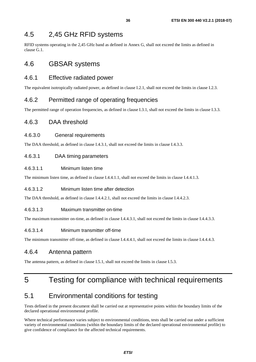## <span id="page-35-0"></span>4.5 2,45 GHz RFID systems

RFID systems operating in the 2,45 GHz band as defined in Annex G, shall not exceed the limits as defined in clause G.1.

## 4.6 GBSAR systems

## 4.6.1 Effective radiated power

The equivalent isotropically radiated power, as defined in clause I.2.1, shall not exceed the limits in clause I.2.3.

## 4.6.2 Permitted range of operating frequencies

The permitted range of operation frequencies, as defined in clause I.3.1, shall not exceed the limits in clause I.3.3.

## 4.6.3 DAA threshold

## 4.6.3.0 General requirements

The DAA threshold, as defined in clause I.4.3.1, shall not exceed the limits in clause I.4.3.3.

## 4.6.3.1 DAA timing parameters

## 4.6.3.1.1 Minimum listen time

The minimum listen time, as defined in clause I.4.4.1.1, shall not exceed the limits in clause I.4.4.1.3.

## 4.6.3.1.2 Minimum listen time after detection

The DAA threshold, as defined in clause I.4.4.2.1, shall not exceed the limits in clause I.4.4.2.3.

## 4.6.3.1.3 Maximum transmitter on-time

The maximum transmitter on-time, as defined in clause I.4.4.3.1, shall not exceed the limits in clause I.4.4.3.3.

## 4.6.3.1.4 Minimum transmitter off-time

The minimum transmitter off-time, as defined in clause I.4.4.4.1, shall not exceed the limits in clause I.4.4.4.3.

## 4.6.4 Antenna pattern

The antenna pattern, as defined in clause I.5.1, shall not exceed the limits in clause I.5.3.

## 5 Testing for compliance with technical requirements

## 5.1 Environmental conditions for testing

Tests defined in the present document shall be carried out at representative points within the boundary limits of the declared operational environmental profile.

Where technical performance varies subject to environmental conditions, tests shall be carried out under a sufficient variety of environmental conditions (within the boundary limits of the declared operational environmental profile) to give confidence of compliance for the affected technical requirements.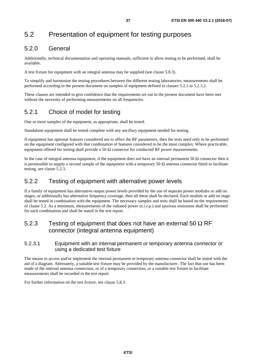# 5.2 Presentation of equipment for testing purposes

### 5.2.0 General

Additionally, technical documentation and operating manuals, sufficient to allow testing to be performed, shall be available.

A test fixture for equipment with an integral antenna may be supplied (see clause 5.8.3).

To simplify and harmonise the testing procedures between the different testing laboratories, measurements shall be performed according to the present document on samples of equipment defined in clauses 5.2.1 to 5.2.3.2.

These clauses are intended to give confidence that the requirements set out in the present document have been met without the necessity of performing measurements on all frequencies.

### 5.2.1 Choice of model for testing

One or more samples of the equipment, as appropriate, shall be tested.

Standalone equipment shall be tested complete with any ancillary equipment needed for testing.

If equipment has optional features considered not to affect the RF parameters, then the tests need only to be performed on the equipment configured with that combination of features considered to be the most complex. Where practicable, equipment offered for testing shall provide a 50  $\Omega$  connector for conducted RF power measurements.

In the case of integral antenna equipment, if the equipment does not have an internal permanent 50  $\Omega$  connector then it is permissible to supply a second sample of the equipment with a temporary 50  $\Omega$  antenna connector fitted to facilitate testing, see clause 5.2.3.

### 5.2.2 Testing of equipment with alternative power levels

If a family of equipment has alternative output power levels provided by the use of separate power modules or add on stages, or additionally has alternative frequency coverage, then all these shall be declared. Each module or add on stage shall be tested in combination with the equipment. The necessary samples and tests shall be based on the requirements of clause 5.2. As a minimum, measurements of the radiated power (e.i.r.p.) and spurious emissions shall be performed for each combination and shall be stated in the test report.

### 5.2.3 Testing of equipment that does not have an external 50  $\Omega$  RF connector (integral antenna equipment)

#### 5.2.3.1 Equipment with an internal permanent or temporary antenna connector or using a dedicated test fixture

The means to access and/or implement the internal permanent or temporary antenna connector shall be stated with the aid of a diagram. Alternately, a suitable test fixture may be provided by the manufacturer. The fact that use has been made of the internal antenna connection, or of a temporary connection, or a suitable test fixture to facilitate measurements shall be recorded in the test report.

For further information on the test fixture, see clause 5.8.3.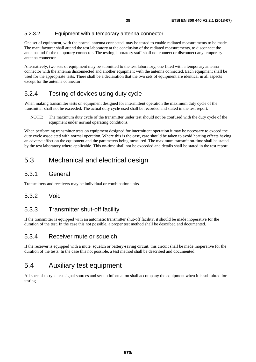### 5.2.3.2 Equipment with a temporary antenna connector

One set of equipment, with the normal antenna connected, may be tested to enable radiated measurements to be made. The manufacturer shall attend the test laboratory at the conclusion of the radiated measurements, to disconnect the antenna and fit the temporary connector. The testing laboratory staff shall not connect or disconnect any temporary antenna connector.

Alternatively, two sets of equipment may be submitted to the test laboratory, one fitted with a temporary antenna connector with the antenna disconnected and another equipment with the antenna connected. Each equipment shall be used for the appropriate tests. There shall be a declaration that the two sets of equipment are identical in all aspects except for the antenna connector.

### 5.2.4 Testing of devices using duty cycle

When making transmitter tests on equipment designed for intermittent operation the maximum duty cycle of the transmitter shall not be exceeded. The actual duty cycle used shall be recorded and stated in the test report.

NOTE: The maximum duty cycle of the transmitter under test should not be confused with the duty cycle of the equipment under normal operating conditions.

When performing transmitter tests on equipment designed for intermittent operation it may be necessary to exceed the duty cycle associated with normal operation. Where this is the case, care should be taken to avoid heating effects having an adverse effect on the equipment and the parameters being measured. The maximum transmit on-time shall be stated by the test laboratory where applicable. This on-time shall not be exceeded and details shall be stated in the test report.

## 5.3 Mechanical and electrical design

### 5.3.1 General

Transmitters and receivers may be individual or combination units.

### 5.3.2 Void

### 5.3.3 Transmitter shut-off facility

If the transmitter is equipped with an automatic transmitter shut-off facility, it should be made inoperative for the duration of the test. In the case this not possible, a proper test method shall be described and documented.

### 5.3.4 Receiver mute or squelch

If the receiver is equipped with a mute, squelch or battery-saving circuit, this circuit shall be made inoperative for the duration of the tests. In the case this not possible, a test method shall be described and documented.

## 5.4 Auxiliary test equipment

All special-to-type test signal sources and set-up information shall accompany the equipment when it is submitted for testing.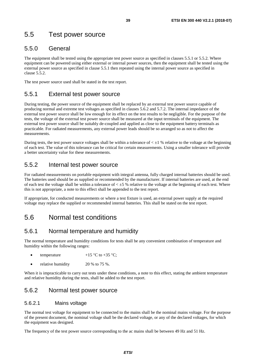## 5.5 Test power source

### 5.5.0 General

The equipment shall be tested using the appropriate test power source as specified in clauses 5.5.1 or 5.5.2. Where equipment can be powered using either external or internal power sources, then the equipment shall be tested using the external power source as specified in clause 5.5.1 then repeated using the internal power source as specified in clause 5.5.2.

The test power source used shall be stated in the test report.

### 5.5.1 External test power source

During testing, the power source of the equipment shall be replaced by an external test power source capable of producing normal and extreme test voltages as specified in clauses 5.6.2 and 5.7.2. The internal impedance of the external test power source shall be low enough for its effect on the test results to be negligible. For the purpose of the tests, the voltage of the external test power source shall be measured at the input terminals of the equipment. The external test power source shall be suitably de-coupled and applied as close to the equipment battery terminals as practicable. For radiated measurements, any external power leads should be so arranged so as not to affect the measurements.

During tests, the test power source voltages shall be within a tolerance of  $\lt$   $\pm$ 1 % relative to the voltage at the beginning of each test. The value of this tolerance can be critical for certain measurements. Using a smaller tolerance will provide a better uncertainty value for these measurements.

### 5.5.2 Internal test power source

For radiated measurements on portable equipment with integral antenna, fully charged internal batteries should be used. The batteries used should be as supplied or recommended by the manufacturer. If internal batteries are used, at the end of each test the voltage shall be within a tolerance of  $\lt 0.5$  % relative to the voltage at the beginning of each test. Where this is not appropriate, a note to this effect shall be appended to the test report.

If appropriate, for conducted measurements or where a test fixture is used, an external power supply at the required voltage may replace the supplied or recommended internal batteries. This shall be stated on the test report.

## 5.6 Normal test conditions

### 5.6.1 Normal temperature and humidity

The normal temperature and humidity conditions for tests shall be any convenient combination of temperature and humidity within the following ranges:

- temperature  $+15 \degree C$  to  $+35 \degree C$ ;
- relative humidity  $20\%$  to 75 %.

When it is impracticable to carry out tests under these conditions, a note to this effect, stating the ambient temperature and relative humidity during the tests, shall be added to the test report.

### 5.6.2 Normal test power source

#### 5.6.2.1 Mains voltage

The normal test voltage for equipment to be connected to the mains shall be the nominal mains voltage. For the purpose of the present document, the nominal voltage shall be the declared voltage, or any of the declared voltages, for which the equipment was designed.

The frequency of the test power source corresponding to the ac mains shall be between 49 Hz and 51 Hz.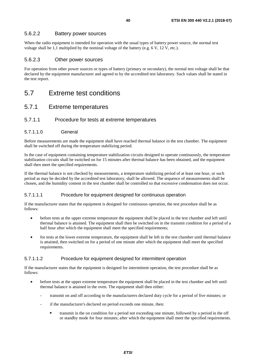#### 5.6.2.2 Battery power sources

When the radio equipment is intended for operation with the usual types of battery power source, the normal test voltage shall be 1,1 multiplied by the nominal voltage of the battery (e.g. 6 V, 12 V, etc.).

#### 5.6.2.3 Other power sources

For operation from other power sources or types of battery (primary or secondary), the normal test voltage shall be that declared by the equipment manufacturer and agreed to by the accredited test laboratory. Such values shall be stated in the test report.

5.7 Extreme test conditions

### 5.7.1 Extreme temperatures

#### 5.7.1.1 Procedure for tests at extreme temperatures

#### 5.7.1.1.0 General

Before measurements are made the equipment shall have reached thermal balance in the test chamber. The equipment shall be switched off during the temperature stabilizing period.

In the case of equipment containing temperature stabilization circuits designed to operate continuously, the temperature stabilization circuits shall be switched on for 15 minutes after thermal balance has been obtained, and the equipment shall then meet the specified requirements.

If the thermal balance is not checked by measurements, a temperature stabilizing period of at least one hour, or such period as may be decided by the accredited test laboratory, shall be allowed. The sequence of measurements shall be chosen, and the humidity content in the test chamber shall be controlled so that excessive condensation does not occur.

#### 5.7.1.1.1 Procedure for equipment designed for continuous operation

If the manufacturer states that the equipment is designed for continuous operation, the test procedure shall be as follows:

- before tests at the upper extreme temperature the equipment shall be placed in the test chamber and left until thermal balance is attained. The equipment shall then be switched on in the transmit condition for a period of a half hour after which the equipment shall meet the specified requirements;
- for tests at the lower extreme temperature, the equipment shall be left in the test chamber until thermal balance is attained, then switched on for a period of one minute after which the equipment shall meet the specified requirements.

#### 5.7.1.1.2 Procedure for equipment designed for intermittent operation

If the manufacturer states that the equipment is designed for intermittent operation, the test procedure shall be as follows:

- before tests at the upper extreme temperature the equipment shall be placed in the test chamber and left until thermal balance is attained in the oven. The equipment shall then either:
	- transmit on and off according to the manufacturers declared duty cycle for a period of five minutes; or
	- if the manufacturer's declared on period exceeds one minute, then:
		- transmit in the on condition for a period not exceeding one minute, followed by a period in the off or standby mode for four minutes; after which the equipment shall meet the specified requirements.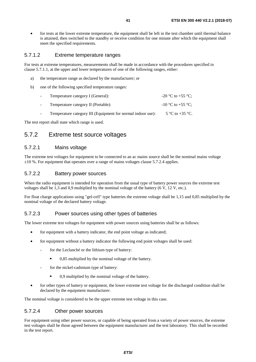• for tests at the lower extreme temperature, the equipment shall be left in the test chamber until thermal balance is attained, then switched to the standby or receive condition for one minute after which the equipment shall meet the specified requirements.

#### 5.7.1.2 Extreme temperature ranges

For tests at extreme temperatures, measurements shall be made in accordance with the procedures specified in clause 5.7.1.1, at the upper and lower temperatures of one of the following ranges, either:

- a) the temperature range as declared by the manufacturer; or
- b) one of the following specified temperature ranges:

| Temperature category I (General):                           | -20 °C to +55 °C:     |
|-------------------------------------------------------------|-----------------------|
| Temperature category II (Portable):                         | $-10$ °C to $+55$ °C: |
| Temperature category III (Equipment for normal indoor use): | 5 °C to +35 °C.       |

The test report shall state which range is used.

### 5.7.2 Extreme test source voltages

#### 5.7.2.1 Mains voltage

The extreme test voltages for equipment to be connected to an ac mains source shall be the nominal mains voltage  $\pm 10$  %. For equipment that operates over a range of mains voltages clause 5.7.2.4 applies.

#### 5.7.2.2 Battery power sources

When the radio equipment is intended for operation from the usual type of battery power sources the extreme test voltages shall be 1,3 and 0,9 multiplied by the nominal voltage of the battery (6 V, 12 V, etc.).

For float charge applications using "gel-cell" type batteries the extreme voltage shall be 1,15 and 0,85 multiplied by the nominal voltage of the declared battery voltage.

#### 5.7.2.3 Power sources using other types of batteries

The lower extreme test voltages for equipment with power sources using batteries shall be as follows:

- for equipment with a battery indicator, the end point voltage as indicated;
- for equipment without a battery indicator the following end point voltages shall be used:
	- for the Leclanché or the lithium type of battery:
		- 0,85 multiplied by the nominal voltage of the battery.
	- for the nickel-cadmium type of battery:
		- 0,9 multiplied by the nominal voltage of the battery.
- for other types of battery or equipment, the lower extreme test voltage for the discharged condition shall be declared by the equipment manufacturer.

The nominal voltage is considered to be the upper extreme test voltage in this case.

### 5.7.2.4 Other power sources

For equipment using other power sources, or capable of being operated from a variety of power sources, the extreme test voltages shall be those agreed between the equipment manufacturer and the test laboratory. This shall be recorded in the test report.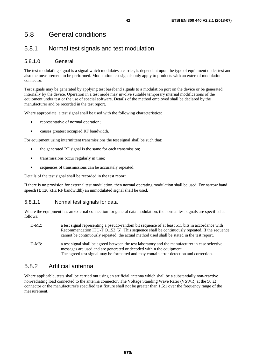## 5.8 General conditions

### 5.8.1 Normal test signals and test modulation

### 5.8.1.0 General

The test modulating signal is a signal which modulates a carrier, is dependent upon the type of equipment under test and also the measurement to be performed. Modulation test signals only apply to products with an external modulation connector.

Test signals may be generated by applying test baseband signals to a modulation port on the device or be generated internally by the device. Operation in a test mode may involve suitable temporary internal modifications of the equipment under test or the use of special software. Details of the method employed shall be declared by the manufacturer and be recorded in the test report.

Where appropriate, a test signal shall be used with the following characteristics:

- representative of normal operation;
- causes greatest occupied RF bandwidth.

For equipment using intermittent transmissions the test signal shall be such that:

- the generated RF signal is the same for each transmission;
- transmissions occur regularly in time:
- sequences of transmissions can be accurately repeated.

Details of the test signal shall be recorded in the test report.

If there is no provision for external test modulation, then normal operating modulation shall be used. For narrow band speech (≤ 120 kHz RF bandwidth) an unmodulated signal shall be used.

#### 5.8.1.1 Normal test signals for data

Where the equipment has an external connection for general data modulation, the normal test signals are specified as follows:

- D-M2: a test signal representing a pseudo-random bit sequence of at least 511 bits in accordance with Recommendation ITU-T O.153 [[5\]](#page-10-0). This sequence shall be continuously repeated. If the sequence cannot be continuously repeated, the actual method used shall be stated in the test report.
- D-M3: a test signal shall be agreed between the test laboratory and the manufacturer in case selective messages are used and are generated or decoded within the equipment. The agreed test signal may be formatted and may contain error detection and correction.

### 5.8.2 Artificial antenna

Where applicable, tests shall be carried out using an artificial antenna which shall be a substantially non-reactive non-radiating load connected to the antenna connector. The Voltage Standing Wave Ratio (VSWR) at the 50  $\Omega$ connector or the manufacturer's specified test fixture shall not be greater than 1,5:1 over the frequency range of the measurement.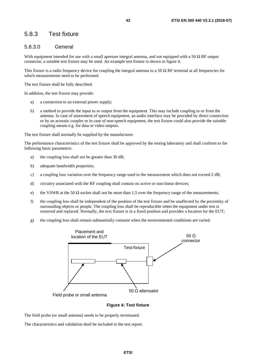### 5.8.3 Test fixture

#### 5.8.3.0 General

With equipment intended for use with a small aperture integral antenna, and not equipped with a 50  $\Omega$  RF output connector, a suitable test fixture may be used. An example test fixture is shown in figure 4.

This fixture is a radio frequency device for coupling the integral antenna to a 50  $\Omega$  RF terminal at all frequencies for which measurements need to be performed.

The test fixture shall be fully described.

In addition, the test fixture may provide:

- a) a connection to an external power supply;
- b) a method to provide the input to or output from the equipment. This may include coupling to or from the antenna. In case of assessment of speech equipment, an audio interface may be provided by direct connection or by an acoustic coupler or in case of non-speech equipment, the test fixture could also provide the suitable coupling means e.g. for data or video outputs.

The test fixture shall normally be supplied by the manufacturer.

The performance characteristics of the test fixture shall be approved by the testing laboratory and shall conform to the following basic parameters:

- a) the coupling loss shall not be greater than 30 dB;
- b) adequate bandwidth properties;
- c) a coupling loss variation over the frequency range used in the measurement which does not exceed 2 dB;
- d) circuitry associated with the RF coupling shall contain no active or non-linear devices;
- e) the VSWR at the 50  $\Omega$  socket shall not be more than 1,5 over the frequency range of the measurements;
- f) the coupling loss shall be independent of the position of the test fixture and be unaffected by the proximity of surrounding objects or people. The coupling loss shall be reproducible when the equipment under test is removed and replaced. Normally, the text fixture is in a fixed position and provides a location for the EUT;
- g) the coupling loss shall remain substantially constant when the environmental conditions are varied.



**Figure 4: Test fixture** 

The field probe (or small antenna) needs to be properly terminated.

The characteristics and validation shall be included in the test report.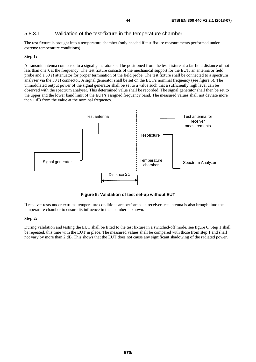#### 5.8.3.1 Validation of the test-fixture in the temperature chamber

The test fixture is brought into a temperature chamber (only needed if test fixture measurements performed under extreme temperature conditions).

#### **Step 1:**

A transmit antenna connected to a signal generator shall be positioned from the test-fixture at a far field distance of not less than one  $\lambda$  at the frequency. The test fixture consists of the mechanical support for the EUT, an antenna or field probe and a 50  $\Omega$  attenuator for proper termination of the field probe. The test fixture shall be connected to a spectrum analyser via the 50  $\Omega$  connector. A signal generator shall be set on the EUT's nominal frequency (see figure 5). The unmodulated output power of the signal generator shall be set to a value such that a sufficiently high level can be observed with the spectrum analyser. This determined value shall be recorded. The signal generator shall then be set to the upper and the lower band limit of the EUT's assigned frequency band. The measured values shall not deviate more than 1 dB from the value at the nominal frequency.



**Figure 5: Validation of test set-up without EUT** 

If receiver tests under extreme temperature conditions are performed, a receiver test antenna is also brought into the temperature chamber to ensure its influence in the chamber is known.

#### **Step 2:**

During validation and testing the EUT shall be fitted to the test fixture in a switched-off mode, see figure 6. Step 1 shall be repeated, this time with the EUT in place. The measured values shall be compared with those from step 1 and shall not vary by more than 2 dB. This shows that the EUT does not cause any significant shadowing of the radiated power.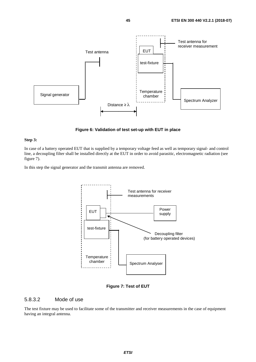

**Figure 6: Validation of test set-up with EUT in place** 

#### **Step 3:**

In case of a battery operated EUT that is supplied by a temporary voltage feed as well as temporary signal- and control line, a decoupling filter shall be installed directly at the EUT in order to avoid parasitic, electromagnetic radiation (see figure 7).

In this step the signal generator and the transmit antenna are removed.



**Figure 7: Test of EUT** 

#### 5.8.3.2 Mode of use

The test fixture may be used to facilitate some of the transmitter and receiver measurements in the case of equipment having an integral antenna.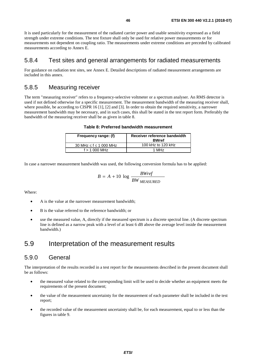It is used particularly for the measurement of the radiated carrier power and usable sensitivity expressed as a field strength under extreme conditions. The test fixture shall only be used for relative power measurements or for measurements not dependent on coupling ratio. The measurements under extreme conditions are preceded by calibrated measurements according to Annex E.

### 5.8.4 Test sites and general arrangements for radiated measurements

For guidance on radiation test sites, see Annex E. Detailed descriptions of radiated measurement arrangements are included in this annex.

### 5.8.5 Measuring receiver

The term "measuring receiver" refers to a frequency-selective voltmeter or a spectrum analyser. An RMS detector is used if not defined otherwise for a specific measurement. The measurement bandwidth of the measuring receiver shall, where possible, be according to CISPR [1](#page-10-0)6 [1], [\[2](#page-10-0)] and [\[3](#page-10-0)]. In order to obtain the required sensitivity, a narrower measurement bandwidth may be necessary, and in such cases, this shall be stated in the test report form. Preferably the bandwidth of the measuring receiver shall be as given in table 8.

| Frequency range: (f)             | Receiver reference bandwidth<br><b>BWref</b> |  |  |
|----------------------------------|----------------------------------------------|--|--|
| 30 MHz $\leq$ f $\leq$ 1 000 MHz | 100 kHz to 120 kHz                           |  |  |
| $f > 1000$ MHz                   | 1 MH <sub>z</sub>                            |  |  |

In case a narrower measurement bandwidth was used, the following conversion formula has to be applied:

$$
B = A + 10 \log \frac{BWref}{BW_{MEASURED}}
$$

Where:

- A is the value at the narrower measurement bandwidth;
- B is the value referred to the reference bandwidth; or
- use the measured value, A, directly if the measured spectrum is a discrete spectral line. (A discrete spectrum line is defined as a narrow peak with a level of at least 6 dB above the average level inside the measurement bandwidth.)

## 5.9 Interpretation of the measurement results

### 5.9.0 General

The interpretation of the results recorded in a test report for the measurements described in the present document shall be as follows:

- the measured value related to the corresponding limit will be used to decide whether an equipment meets the requirements of the present document;
- the value of the measurement uncertainty for the measurement of each parameter shall be included in the test report;
- the recorded value of the measurement uncertainty shall be, for each measurement, equal to or less than the figures in table 9.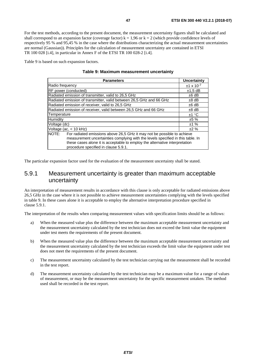For the test methods, according to the present document, the measurement uncertainty figures shall be calculated and shall correspond to an expansion factor (coverage factor)  $k = 1.96$  or  $k = 2$  (which provide confidence levels of respectively 95 % and 95,45 % in the case where the distributions characterizing the actual measurement uncertainties are normal (Gaussian)). Principles for the calculation of measurement uncertainty are contained in ETSI TR 100 028 [\[i.4](#page-11-0)], in particular in Annex F of the ETSI TR 100 028-2 [[i.4\]](#page-11-0).

Table 9 is based on such expansion factors.

| <b>Parameters</b>                                                                                                                                                                                                                                                                          | Uncertainty         |  |  |  |
|--------------------------------------------------------------------------------------------------------------------------------------------------------------------------------------------------------------------------------------------------------------------------------------------|---------------------|--|--|--|
| Radio frequency                                                                                                                                                                                                                                                                            | $±1 \times 10^{-7}$ |  |  |  |
| RF power (conducted)                                                                                                                                                                                                                                                                       | $±1.5$ dB           |  |  |  |
| Radiated emission of transmitter, valid to 26,5 GHz                                                                                                                                                                                                                                        | $±6$ dB             |  |  |  |
| Radiated emission of transmitter, valid between 26,5 GHz and 66 GHz                                                                                                                                                                                                                        | $±8$ dB             |  |  |  |
| Radiated emission of receiver, valid to 26,5 GHz                                                                                                                                                                                                                                           | $±6$ dB             |  |  |  |
| Radiated emission of receiver, valid between 26,5 GHz and 66 GHz                                                                                                                                                                                                                           | $±8$ dB             |  |  |  |
| Temperature                                                                                                                                                                                                                                                                                | ±1 °C               |  |  |  |
| Humidity                                                                                                                                                                                                                                                                                   | ±5%                 |  |  |  |
| Voltage (dc)                                                                                                                                                                                                                                                                               | ±1%                 |  |  |  |
| Voltage (ac. $<$ 10 kHz)                                                                                                                                                                                                                                                                   | ±2%                 |  |  |  |
| NOTE:<br>For radiated emissions above 26.5 GHz it may not be possible to achieve<br>measurement uncertainties complying with the levels specified in this table. In<br>these cases alone it is acceptable to employ the alternative interpretation<br>procedure specified in clause 5.9.1. |                     |  |  |  |

The particular expansion factor used for the evaluation of the measurement uncertainty shall be stated.

### 5.9.1 Measurement uncertainty is greater than maximum acceptable uncertainty

An interpretation of measurement results in accordance with this clause is only acceptable for radiated emissions above 26,5 GHz in the case where it is not possible to achieve measurement uncertainties complying with the levels specified in table 9. In these cases alone it is acceptable to employ the alternative interpretation procedure specified in clause 5.9.1.

The interpretation of the results when comparing measurement values with specification limits should be as follows:

- a) When the measured value plus the difference between the maximum acceptable measurement uncertainty and the measurement uncertainty calculated by the test technician does not exceed the limit value the equipment under test meets the requirements of the present document.
- b) When the measured value plus the difference between the maximum acceptable measurement uncertainty and the measurement uncertainty calculated by the test technician exceeds the limit value the equipment under test does not meet the requirements of the present document.
- c) The measurement uncertainty calculated by the test technician carrying out the measurement shall be recorded in the test report.
- d) The measurement uncertainty calculated by the test technician may be a maximum value for a range of values of measurement, or may be the measurement uncertainty for the specific measurement untaken. The method used shall be recorded in the test report.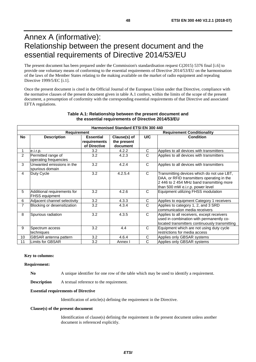# Annex A (informative): Relationship between the present document and the essential requirements of Directive 2014/53/EU

The present document has been prepared under the Commission's standardisation request C(2015) 5376 final [\[i.6](#page-11-0)] to provide one voluntary means of conforming to the essential requirements of Directive 2014/53/EU on the harmonisation of the laws of the Member States relating to the making available on the market of radio equipment and repealing Directive 1999/5/EC [\[i.1\]](#page-10-0).

Once the present document is cited in the Official Journal of the European Union under that Directive, compliance with the normative clauses of the present document given in table A.1 confers, within the limits of the scope of the present document, a presumption of conformity with the corresponding essential requirements of that Directive and associated EFTA regulations.

|                | <b>Harmonised Standard ETSI EN 300 440</b>           |                                                  |                                         |              |                                                                                                                                                                           |  |  |
|----------------|------------------------------------------------------|--------------------------------------------------|-----------------------------------------|--------------|---------------------------------------------------------------------------------------------------------------------------------------------------------------------------|--|--|
|                | Requirement                                          |                                                  |                                         |              | <b>Requirement Conditionality</b>                                                                                                                                         |  |  |
| <b>No</b>      | <b>Description</b>                                   | <b>Essential</b><br>requirements<br>of Directive | Clause(s) of<br>the present<br>document | U/C          | <b>Condition</b>                                                                                                                                                          |  |  |
|                | e.i.r.p.                                             | 3.2                                              | 4.2.2                                   | C            | Applies to all devices with transmitters                                                                                                                                  |  |  |
| 2              | Permitted range of<br>operating frequencies          | 3.2                                              | 4.2.3                                   | C            | Applies to all devices with transmitters                                                                                                                                  |  |  |
| 3              | Unwanted emissions in the<br>spurious domain         | 3.2                                              | 4.2.4                                   | C            | Applies to all devices with transmitters                                                                                                                                  |  |  |
| $\overline{4}$ | Duty Cycle                                           | 3.2                                              | 4.2.5.4                                 | C            | Transmitting devices which do not use LBT,<br>DAA, or RFID transmitters operating in the<br>2 446 to 2 454 MHz band transmitting more<br>than 500 mW e.i.r.p. power level |  |  |
| 5              | Additional requirements for<br><b>FHSS equipment</b> | 3.2                                              | 4.2.6                                   | C            | Equipment utilizing FHSS modulation                                                                                                                                       |  |  |
| 6              | Adjacent channel selectivity                         | 3.2                                              | 4.3.3                                   | C            | Applies to equipment Category 1 receivers                                                                                                                                 |  |  |
| $\overline{7}$ | Blocking or desensitization                          | 3.2                                              | 4.3.4                                   | $\mathsf{C}$ | Applies to category 1, 2, and 3 SRD<br>communication media receivers                                                                                                      |  |  |
| 8              | Spurious radiation                                   | 3.2                                              | 4.3.5                                   | C            | Applies to all receivers, except receivers<br>used in combination with permanently co-<br>located transmitters continuously transmitting                                  |  |  |
| 9              | Spectrum access                                      | 3.2                                              | 4.4                                     | $\mathsf{C}$ | Equipment which are not using duty cycle                                                                                                                                  |  |  |
|                | techniques                                           |                                                  |                                         |              | restrictions for media access                                                                                                                                             |  |  |
| 10             | <b>GBSAR</b> antenna pattern                         | 3.2                                              | 4.6.4                                   | C            | Applies only GBSAR systems                                                                                                                                                |  |  |
| 11             | Limits for GBSAR                                     | 3.2                                              | Annex I                                 | C            | Applies only GBSAR systems                                                                                                                                                |  |  |

#### **Table A.1: Relationship between the present document and the essential requirements of Directive 2014/53/EU**

#### **Key to columns:**

#### **Requirement:**

**No** A unique identifier for one row of the table which may be used to identify a requirement.

**Description** A textual reference to the requirement.

#### **Essential requirements of Directive**

Identification of article(s) defining the requirement in the Directive.

#### **Clause(s) of the present document**

 Identification of clause(s) defining the requirement in the present document unless another document is referenced explicitly.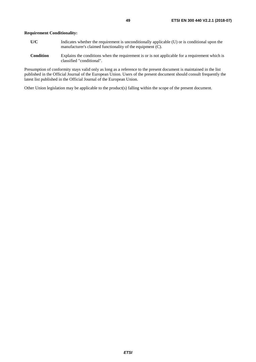- **U/C** Indicates whether the requirement is unconditionally applicable (U) or is conditional upon the manufacturer's claimed functionality of the equipment (C).
- **Condition** Explains the conditions when the requirement is or is not applicable for a requirement which is classified "conditional".

Presumption of conformity stays valid only as long as a reference to the present document is maintained in the list published in the Official Journal of the European Union. Users of the present document should consult frequently the latest list published in the Official Journal of the European Union.

Other Union legislation may be applicable to the product(s) falling within the scope of the present document.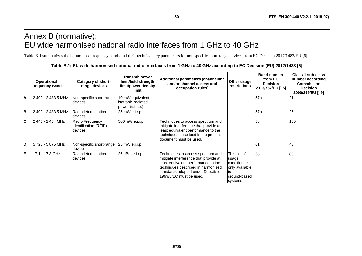# Annex B (normative): EU wide harmonised national radio interfaces from 1 GHz to 40 GHz

Table B.1 summarizes the harmonised frequency bands and their technical key parameters for non specific short-range devices from EC Decision 2017/1483/EU [\[6](#page-10-0)].

|                         | <b>Operational</b><br><b>Frequency Band</b> | Category of short-<br>range devices                 | <b>Transmit power</b><br>limit/field strength<br>limit/power density<br>limit | <b>Additional parameters (channelling</b><br>and/or channel access and<br>occupation rules)                                                                                                                             | Other usage<br>restrictions                                                               | <b>Band number</b><br>from EC<br><b>Decision</b><br>2013/752/EU [i.5] | Class 1 sub-class<br>number according<br><b>Commission</b><br><b>Decision</b><br>2000/299/EU [i.9] |
|-------------------------|---------------------------------------------|-----------------------------------------------------|-------------------------------------------------------------------------------|-------------------------------------------------------------------------------------------------------------------------------------------------------------------------------------------------------------------------|-------------------------------------------------------------------------------------------|-----------------------------------------------------------------------|----------------------------------------------------------------------------------------------------|
| A                       | 2 400 - 2 483,5 MHz                         | Non-specific short-range<br>devices                 | 10 mW equivalent<br>isotropic radiated<br>power (e.i.r.p.)                    |                                                                                                                                                                                                                         |                                                                                           | 57a                                                                   | 21                                                                                                 |
| B                       | 2 400 - 2 483,5 MHz                         | Radiodetermination<br>devices                       | 25 mW e.i.r.p.                                                                |                                                                                                                                                                                                                         |                                                                                           | 57 <sub>b</sub>                                                       | 26                                                                                                 |
| $\overline{\mathbf{c}}$ | l2 446 - 2 454 MHz                          | Radio Frequency<br>Identification (RFID)<br>devices | 500 mW e.i.r.p.                                                               | Techniques to access spectrum and<br>mitigate interference that provide at<br>least equivalent performance to the<br>techniques described in the present<br>document must be used.                                      |                                                                                           | 58                                                                    | 100                                                                                                |
| D                       | 5 725 - 5 875 MHz                           | Non-specific short-range<br>devices                 | 25 mW e.i.r.p.                                                                |                                                                                                                                                                                                                         |                                                                                           | 61                                                                    | 43                                                                                                 |
| E                       | 17.1 - 17.3 GHz                             | Radiodetermination<br>devices                       | 26 dBm e.i.r.p.                                                               | Techniques to access spectrum and<br>mitigate interference that provide at<br>least equivalent performance to the<br>techniques described in harmonised<br>standards adopted under Directive<br>1999/5/EC must be used. | This set of<br>usage<br>conditions is<br>only available<br>to<br>ground-based<br>systems. | 65                                                                    | 88                                                                                                 |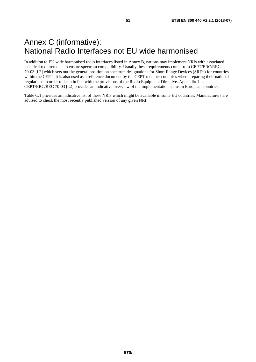# Annex C (informative): National Radio Interfaces not EU wide harmonised

In addition to EU wide harmonised radio interfaces listed in Annex B, nations may implement NRIs with associated technical requirements to ensure spectrum compatibility. Usually these requirements come from CEPT/ERC/REC 70-03 [\[i.2](#page-10-0)] which sets out the general position on spectrum designations for Short Range Devices (SRDs) for countries within the CEPT. It is also used as a reference document by the CEPT member countries when preparing their national regulations in order to keep in line with the provisions of the Radio Equipment Directive. Appendix 1 in CEPT/ERC/REC 70-03 [[i.2](#page-10-0)] provides an indicative overview of the implementation status in European countries.

Table C.1 provides an indicative list of these NRIs which might be available in some EU countries. Manufacturers are advised to check the most recently published version of any given NRI.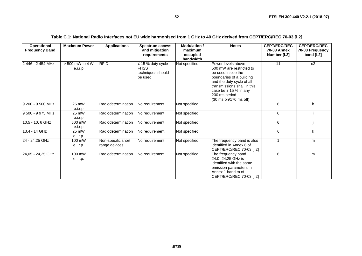| <b>Operational</b><br><b>Frequency Band</b> | <b>Maximum Power</b>        | <b>Applications</b>                 | <b>Spectrum access</b><br>and mitigation<br>requirements              | <b>Modulation /</b><br>maximum<br>occupied<br>bandwidth | <b>Notes</b>                                                                                                                                                                                                                         | <b>CEPT/ERC/REC</b><br>70-03 Annex<br>Number [i.2] | <b>CEPT/ERC/REC</b><br>70-03 Frequency<br>band [i.2] |
|---------------------------------------------|-----------------------------|-------------------------------------|-----------------------------------------------------------------------|---------------------------------------------------------|--------------------------------------------------------------------------------------------------------------------------------------------------------------------------------------------------------------------------------------|----------------------------------------------------|------------------------------------------------------|
| 2 446 - 2 454 MHz                           | > 500 mW to 4 W<br>e.i.r.p  | <b>RFID</b>                         | $\leq$ 15 % duty cycle<br><b>FHSS</b><br>techniques should<br>be used | Not specified                                           | Power levels above<br>500 mW are restricted to<br>be used inside the<br>boundaries of a building<br>and the duty cycle of all<br>transmissions shall in this<br>case be $\leq 15$ % in any<br>200 ms period<br>(30 ms on/170 ms off) | 11                                                 | c2                                                   |
| 9 200 - 9 500 MHz                           | 25 mW<br>e.i.r.p            | Radiodetermination                  | No requirement                                                        | Not specified                                           |                                                                                                                                                                                                                                      | 6                                                  | h.                                                   |
| 9 500 - 9 975 MHz                           | 25 mW<br>e.i.r.p            | Radiodetermination                  | No requirement                                                        | Not specified                                           |                                                                                                                                                                                                                                      | 6                                                  |                                                      |
| 10,5 - 10, 6 GHz                            | $500 \text{ mW}$<br>e.i.r.p | Radiodetermination                  | No requirement                                                        | Not specified                                           |                                                                                                                                                                                                                                      | 6                                                  |                                                      |
| $13,4 - 14$ GHz                             | 25 mW<br>e.i.r.p.           | Radiodetermination                  | No requirement                                                        | Not specified                                           |                                                                                                                                                                                                                                      | 6                                                  | k                                                    |
| 24 - 24,25 GHz                              | 100 mW<br>e.i.r.p.          | Non-specific short<br>range devices | No requirement                                                        | Not specified                                           | The frequency band is also<br>lidentified in Annex 6 of<br>CEPT/ERC/REC 70-03 [i.2]                                                                                                                                                  |                                                    | m                                                    |
| 24,05 - 24,25 GHz                           | 100 mW<br>e.i.r.p.          | Radiodetermination                  | No requirement                                                        | Not specified                                           | The frequency band<br>24.0 -24.25 GHz is<br>identified with the same<br>emission parameters in<br>Annex 1 band m of<br>CEPT/ERC/REC 70-03 [i.2]                                                                                      | 6                                                  | m                                                    |

### **Table C.1: National Radio Interfaces not EU wide harmonised from 1 GHz to 40 GHz derived from CEPT/ERC/REC 70-03 [[i.2](#page-10-0)]**

**52**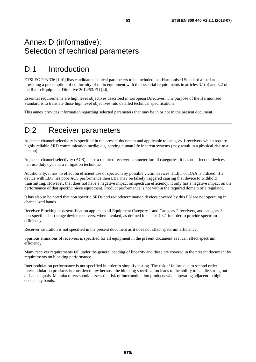# Annex D (informative): Selection of technical parameters

# D.1 Introduction

ETSI EG 203 336 [\[i.10](#page-11-0)] lists candidate technical parameters to be included in a Harmonised Standard aimed at providing a presumption of conformity of radio equipment with the essential requirements in articles 3.1(b) and 3.2 of the Radio Equipment Directive 2014/53/EU [[i.6\]](#page-11-0).

Essential requirements are high level objectives described in European Directives. The purpose of the Harmonised Standard is to translate those high level objectives into detailed technical specifications.

This annex provides information regarding selected parameters that may be in or not in the present document.

# D.2 Receiver parameters

Adjacent channel selectivity is specified in the present document and applicable to category 1 receivers which require highly reliable SRD communication media; e.g. serving human life inherent systems (may result in a physical risk to a person).

Adjacent channel selectivity (ACS) is not a required receiver parameter for all categories. It has no effect on devices that use duty cycle as a mitigation technique.

Additionally. it has no effect on efficient use of spectrum by possible victim devices if LBT or DAA is utilized. If a device with LBT has poor ACS performance then LBT may be falsely triggered causing that device to withhold transmitting. However, that does not have a negative impact on spectrum efficiency, it only has a negative impact on the performance of that specific piece equipment. Product performance is not within the required domain of a regulator.

It has also to be noted that non specific SRDs and radiodetermination devices covered by this EN are not operating in channelized bands.

Receiver Blocking or desensification applies to all Equipment Category 1 and Category 2 receivers, and category 3 non-specific short range device receivers, when invoked, as defined in clause 4.3.1 in order to provide spectrum efficiency.

Receiver saturation is not specified in the present document as it does not affect spectrum efficiency.

Spurious emissions of receivers is specified for all equipment in the present document as it can effect spectrum efficiency.

Many receiver requirements fall under the general heading of linearity and these are covered in the present document by requirements on blocking performance.

Intermodulation performance is not specified in order to simplify testing. The risk of failure due to second order intermodulation products is considered low because the blocking specification leads to the ability to handle strong outof-band signals. Manufacturers should assess the risk of intermodulation products when operating adjacent to high occupancy bands.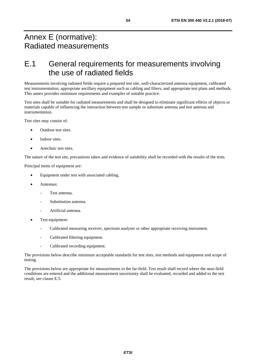# Annex E (normative): Radiated measurements

# E.1 General requirements for measurements involving the use of radiated fields

Measurements involving radiated fields require a prepared test site, well-characterized antenna equipment, calibrated test instrumentation, appropriate ancillary equipment such as cabling and filters, and appropriate test plans and methods. This annex provides minimum requirements and examples of suitable practice.

Test sites shall be suitable for radiated measurements and shall be designed to eliminate significant effects of objects or materials capable of influencing the interaction between test sample or substitute antenna and test antenna and instrumentation.

Test sites may consist of:

- Outdoor test sites.
- Indoor sites.
- Anechoic test sites.

The nature of the test site, precautions taken and evidence of suitability shall be recorded with the results of the tests.

Principal items of equipment are:

- Equipment under test with associated cabling.
- Antennas:
	- Test antenna.
	- Substitution antenna.
	- Artificial antenna.
- Test equipment:
	- Calibrated measuring receiver, spectrum analyser or other appropriate receiving instrument.
	- Calibrated filtering equipment.
	- Calibrated recording equipment.

The provisions below describe minimum acceptable standards for test sites, test methods and equipment and scope of testing.

The provisions below are appropriate for measurements in the far-field. Test result shall record where the near-field conditions are entered and the additional measurement uncertainty shall be evaluated, recorded and added to the test result, see clause E.5.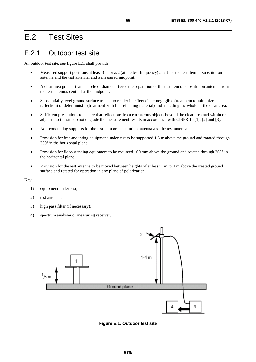# E.2 Test Sites

# E.2.1 Outdoor test site

An outdoor test site, see figure E.1, shall provide:

- Measured support positions at least 3 m or  $\lambda/2$  (at the test frequency) apart for the test item or substitution antenna and the test antenna, and a measured midpoint.
- A clear area greater than a circle of diameter twice the separation of the test item or substitution antenna from the test antenna, centred at the midpoint.
- Substantially level ground surface treated to render its effect either negligible (treatment to minimize reflection) or deterministic (treatment with flat reflecting material) and including the whole of the clear area.
- Sufficient precautions to ensure that reflections from extraneous objects beyond the clear area and within or adjacent to the site do not degrade the measurement results in accordance with CISPR 16 [[1\]](#page-10-0), [\[2](#page-10-0)] and [[3](#page-10-0)].
- Non-conducting supports for the test item or substitution antenna and the test antenna.
- Provision for free-mounting equipment under test to be supported 1,5 m above the ground and rotated through 360º in the horizontal plane.
- Provision for floor-standing equipment to be mounted 100 mm above the ground and rotated through 360° in the horizontal plane.
- Provision for the test antenna to be moved between heights of at least 1 m to 4 m above the treated ground surface and rotated for operation in any plane of polarization.

Key:

- 1) equipment under test;
- 2) test antenna;
- 3) high pass filter (if necessary);
- 4) spectrum analyser or measuring receiver.



**Figure E.1: Outdoor test site**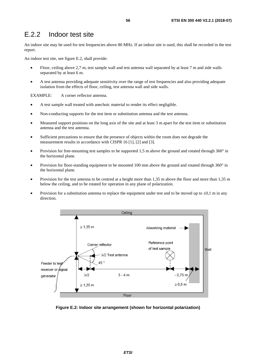## E.2.2 Indoor test site

An indoor site may be used for test frequencies above 80 MHz. If an indoor site is used, this shall be recorded in the test report.

An indoor test site, see figure E.2, shall provide:

- Floor, ceiling above 2,7 m, test sample wall and test antenna wall separated by at least 7 m and side walls separated by at least 6 m.
- A test antenna providing adequate sensitivity over the range of test frequencies and also providing adequate isolation from the effects of floor, ceiling, test antenna wall and side walls.

EXAMPLE: A corner reflector antenna.

- A test sample wall treated with anechoic material to render its effect negligible.
- Non-conducting supports for the test item or substitution antenna and the test antenna.
- Measured support positions on the long axis of the site and at least 3 m apart for the test item or substitution antenna and the test antenna.
- Sufficient precautions to ensure that the presence of objects within the room does not degrade the measurement results in accordance with CISPR 16 [\[1](#page-10-0)], [[2\]](#page-10-0) and [[3\]](#page-10-0).
- Provision for free-mounting test samples to be supported 1,5 m above the ground and rotated through 360° in the horizontal plane.
- Provision for floor-standing equipment to be mounted 100 mm above the ground and rotated through 360° in the horizontal plane.
- Provision for the test antenna to be centred at a height more than 1,35 m above the floor and more than 1,35 m below the ceiling, and to be rotated for operation in any plane of polarization.
- Provision for a substitution antenna to replace the equipment under test and to be moved up to  $\pm 0.1$  m in any direction.



**Figure E.2: Indoor site arrangement (shown for horizontal polarization)**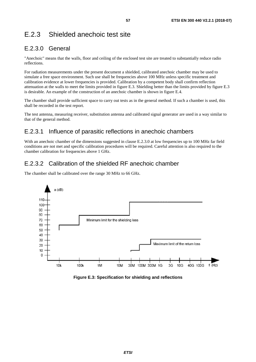# E.2.3 Shielded anechoic test site

## E.2.3.0 General

"Anechoic" means that the walls, floor and ceiling of the enclosed test site are treated to substantially reduce radio reflections.

For radiation measurements under the present document a shielded, calibrated anechoic chamber may be used to simulate a free space environment. Such use shall be frequencies above 100 MHz unless specific treatment and calibration evidence at lower frequencies is provided. Calibration by a competent body shall confirm reflection attenuation at the walls to meet the limits provided in figure E.3. Shielding better than the limits provided by figure E.3 is desirable. An example of the construction of an anechoic chamber is shown in figure E.4.

The chamber shall provide sufficient space to carry out tests as in the general method. If such a chamber is used, this shall be recorded in the test report.

The test antenna, measuring receiver, substitution antenna and calibrated signal generator are used in a way similar to that of the general method.

### E.2.3.1 Influence of parasitic reflections in anechoic chambers

With an anechoic chamber of the dimensions suggested in clause E.2.3.0 at low frequencies up to 100 MHz far field conditions are not met and specific calibration procedures will be required. Careful attention is also required to the chamber calibration for frequencies above 1 GHz.

### E.2.3.2 Calibration of the shielded RF anechoic chamber

The chamber shall be calibrated over the range 30 MHz to 66 GHz.



**Figure E.3: Specification for shielding and reflections**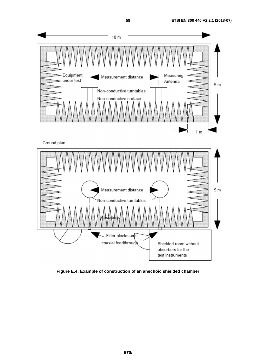$1<sub>m</sub>$ 





**Figure E.4: Example of construction of an anechoic shielded chamber**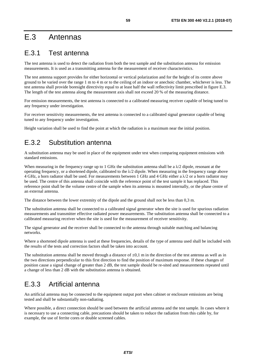# E.3 Antennas

## E.3.1 Test antenna

The test antenna is used to detect the radiation from both the test sample and the substitution antenna for emission measurements. It is used as a transmitting antenna for the measurement of receiver characteristics.

The test antenna support provides for either horizontal or vertical polarization and for the height of its centre above ground to be varied over the range 1 m to 4 m or to the ceiling of an indoor or anechoic chamber, whichever is less. The test antenna shall provide boresight directivity equal to at least half the wall reflectivity limit prescribed in figure E.3. The length of the test antenna along the measurement axis shall not exceed 20 % of the measuring distance.

For emission measurements, the test antenna is connected to a calibrated measuring receiver capable of being tuned to any frequency under investigation.

For receiver sensitivity measurements, the test antenna is connected to a calibrated signal generator capable of being tuned to any frequency under investigation.

Height variation shall be used to find the point at which the radiation is a maximum near the initial position.

## E.3.2 Substitution antenna

A substitution antenna may be used in place of the equipment under test when comparing equipment emissions with standard emissions.

When measuring in the frequency range up to 1 GHz the substitution antenna shall be a  $\lambda/2$  dipole, resonant at the operating frequency, or a shortened dipole, calibrated to the  $\lambda/2$  dipole. When measuring in the frequency range above 4 GHz, a horn radiator shall be used. For measurements between 1 GHz and 4 GHz either a λ/2 or a horn radiator may be used. The centre of this antenna shall coincide with the reference point of the test sample it has replaced. This reference point shall be the volume centre of the sample when its antenna is mounted internally, or the phase centre of an external antenna.

The distance between the lower extremity of the dipole and the ground shall not be less than 0,3 m.

The substitution antenna shall be connected to a calibrated signal generator when the site is used for spurious radiation measurements and transmitter effective radiated power measurements. The substitution antenna shall be connected to a calibrated measuring receiver when the site is used for the measurement of receiver sensitivity.

The signal generator and the receiver shall be connected to the antenna through suitable matching and balancing networks.

Where a shortened dipole antenna is used at these frequencies, details of the type of antenna used shall be included with the results of the tests and correction factors shall be taken into account.

The substitution antenna shall be moved through a distance of  $\pm 0.1$  m in the direction of the test antenna as well as in the two directions perpendicular to this first direction to find the position of maximum response. If these changes of position cause a signal change of greater than 2 dB, the test sample should be re-sited and measurements repeated until a change of less than 2 dB with the substitution antenna is obtained.

# E.3.3 Artificial antenna

An artificial antenna may be connected to the equipment output port when cabinet or enclosure emissions are being tested and shall be substantially non-radiating.

Where possible, a direct connection should be used between the artificial antenna and the test sample. In cases where it is necessary to use a connecting cable, precautions should be taken to reduce the radiation from this cable by, for example, the use of ferrite cores or double screened cables.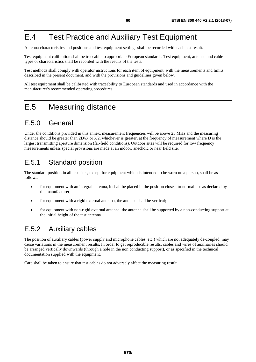# E.4 Test Practice and Auxiliary Test Equipment

Antenna characteristics and positions and test equipment settings shall be recorded with each test result.

Test equipment calibration shall be traceable to appropriate European standards. Test equipment, antenna and cable types or characteristics shall be recorded with the results of the tests.

Test methods shall comply with operator instructions for each item of equipment, with the measurements and limits described in the present document, and with the provisions and guidelines given below.

All test equipment shall be calibrated with traceability to European standards and used in accordance with the manufacturer's recommended operating procedures.

# E.5 Measuring distance

## E.5.0 General

Under the conditions provided in this annex, measurement frequencies will be above 25 MHz and the measuring distance should be greater than  $2D^2/\lambda$  or  $\lambda/2$ , whichever is greater, at the frequency of measurement where D is the largest transmitting aperture dimension (far-field conditions). Outdoor sites will be required for low frequency measurements unless special provisions are made at an indoor, anechoic or near field site.

# E.5.1 Standard position

The standard position in all test sites, except for equipment which is intended to be worn on a person, shall be as follows:

- for equipment with an integral antenna, it shall be placed in the position closest to normal use as declared by the manufacturer;
- for equipment with a rigid external antenna, the antenna shall be vertical;
- for equipment with non-rigid external antenna, the antenna shall be supported by a non-conducting support at the initial height of the test antenna.

## E.5.2 Auxiliary cables

The position of auxiliary cables (power supply and microphone cables, etc.) which are not adequately de-coupled, may cause variations in the measurement results. In order to get reproducible results, cables and wires of auxiliaries should be arranged vertically downwards (through a hole in the non conducting support), or as specified in the technical documentation supplied with the equipment.

Care shall be taken to ensure that test cables do not adversely affect the measuring result.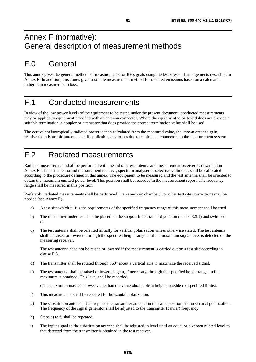# Annex F (normative): General description of measurement methods

# F.0 General

This annex gives the general methods of measurements for RF signals using the test sites and arrangements described in Annex E. In addition, this annex gives a simple measurement method for radiated emissions based on a calculated rather than measured path loss.

# F.1 Conducted measurements

In view of the low power levels of the equipment to be tested under the present document, conducted measurements may be applied to equipment provided with an antenna connector. Where the equipment to be tested does not provide a suitable termination, a coupler or attenuator that does provide the correct termination value shall be used.

The equivalent isotropically radiated power is then calculated from the measured value, the known antenna gain, relative to an isotropic antenna, and if applicable, any losses due to cables and connectors in the measurement system.

# F.2 Radiated measurements

Radiated measurements shall be performed with the aid of a test antenna and measurement receiver as described in Annex E. The test antenna and measurement receiver, spectrum analyser or selective voltmeter, shall be calibrated according to the procedure defined in this annex. The equipment to be measured and the test antenna shall be oriented to obtain the maximum emitted power level. This position shall be recorded in the measurement report. The frequency range shall be measured in this position.

Preferably, radiated measurements shall be performed in an anechoic chamber. For other test sites corrections may be needed (see Annex E).

- a) A test site which fulfils the requirements of the specified frequency range of this measurement shall be used.
- b) The transmitter under test shall be placed on the support in its standard position (clause E.5.1) and switched on.
- c) The test antenna shall be oriented initially for vertical polarization unless otherwise stated. The test antenna shall be raised or lowered, through the specified height range until the maximum signal level is detected on the measuring receiver.

 The test antenna need not be raised or lowered if the measurement is carried out on a test site according to clause E.3.

- d) The transmitter shall be rotated through 360° about a vertical axis to maximize the received signal.
- e) The test antenna shall be raised or lowered again, if necessary, through the specified height range until a maximum is obtained. This level shall be recorded.

(This maximum may be a lower value than the value obtainable at heights outside the specified limits).

- f) This measurement shall be repeated for horizontal polarization.
- g) The substitution antenna, shall replace the transmitter antenna in the same position and in vertical polarization. The frequency of the signal generator shall be adjusted to the transmitter (carrier) frequency.
- h) Steps c) to f) shall be repeated.
- i) The input signal to the substitution antenna shall be adjusted in level until an equal or a known related level to that detected from the transmitter is obtained in the test receiver.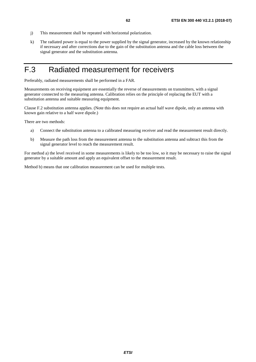- j) This measurement shall be repeated with horizontal polarization.
- k) The radiated power is equal to the power supplied by the signal generator, increased by the known relationship if necessary and after corrections due to the gain of the substitution antenna and the cable loss between the signal generator and the substitution antenna.

# F.3 Radiated measurement for receivers

Preferably, radiated measurements shall be performed in a FAR.

Measurements on receiving equipment are essentially the reverse of measurements on transmitters, with a signal generator connected to the measuring antenna. Calibration relies on the principle of replacing the EUT with a substitution antenna and suitable measuring equipment.

Clause F.2 substitution antenna applies. (Note this does not require an actual half wave dipole, only an antenna with known gain relative to a half wave dipole.)

There are two methods:

- a) Connect the substitution antenna to a calibrated measuring receiver and read the measurement result directly.
- b) Measure the path loss from the measurement antenna to the substitution antenna and subtract this from the signal generator level to reach the measurement result.

For method a) the level received in some measurements is likely to be too low, so it may be necessary to raise the signal generator by a suitable amount and apply an equivalent offset to the measurement result.

Method b) means that one calibration measurement can be used for multiple tests.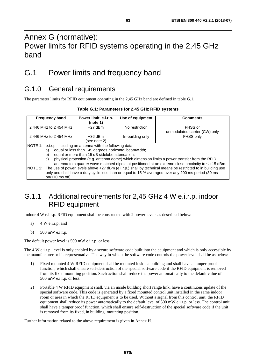# Annex G (normative): Power limits for RFID systems operating in the 2,45 GHz band

# G.1 Power limits and frequency band

## G.1.0 General requirements

The parameter limits for RFID equipment operating in the 2,45 GHz band are defined in table G.1.

| <b>Frequency band</b>                                                                                              | Power limit, e.i.r.p.<br>(note 1)                                                                  | Use of equipment | <b>Comments</b>               |  |  |  |
|--------------------------------------------------------------------------------------------------------------------|----------------------------------------------------------------------------------------------------|------------------|-------------------------------|--|--|--|
| 2446 MHz to 2454 MHz                                                                                               | $+27$ dBm                                                                                          | No restriction   | FHSS or                       |  |  |  |
|                                                                                                                    |                                                                                                    |                  | unmodulated carrier (CW) only |  |  |  |
| 2446 MHz to 2454 MHz                                                                                               | $+36$ dBm                                                                                          | In-building only | FHSS only                     |  |  |  |
|                                                                                                                    | (see note 2)                                                                                       |                  |                               |  |  |  |
| NOTE 1: e.i.r.p. including an antenna with the following data:                                                     |                                                                                                    |                  |                               |  |  |  |
| equal or less than ±45 degrees horizontal beamwidth;<br>a)                                                         |                                                                                                    |                  |                               |  |  |  |
| b)                                                                                                                 | equal or more than 15 dB sidelobe attenuation;                                                     |                  |                               |  |  |  |
| C)                                                                                                                 | physical protection (e.g. antenna dome) which dimension limits a power transfer from the RFID      |                  |                               |  |  |  |
| antenna to a quarter wave matched dipole at positioned at an extreme close proximity to $\leq$ +15 dBm.            |                                                                                                    |                  |                               |  |  |  |
| NOTE 2: The use of power levels above +27 dBm (e.i.r.p.) shall by technical means be restricted to in building use |                                                                                                    |                  |                               |  |  |  |
|                                                                                                                    | only and shall have a duty cycle less than or equal to 15 % averaged over any 200 ms period (30 ms |                  |                               |  |  |  |
| on/170 ms off).                                                                                                    |                                                                                                    |                  |                               |  |  |  |

## G.1.1 Additional requirements for 2,45 GHz 4 W e.i.r.p. indoor RFID equipment

Indoor 4 W e.i.r.p. RFID equipment shall be constructed with 2 power levels as described below:

- a) 4 W e.i.r.p; and
- b) 500 mW e.i.r.p.

The default power level is 500 mW e.i.r.p. or less.

The 4 W e.i.r.p. level is only enabled by a secure software code built into the equipment and which is only accessible by the manufacturer or his representative. The way in which the software code controls the power level shall be as below:

- 1) Fixed mounted 4 W RFID equipment shall be mounted inside a building and shall have a tamper proof function, which shall ensure self-destruction of the special software code if the RFID equipment is removed from its fixed mounting position. Such action shall reduce the power automatically to the default value of 500 mW e.i.r.p. or less.
- 2) Portable 4 W RFID equipment shall, via an inside building short range link, have a continuous update of the special software code. This code is generated by a fixed mounted control unit installed in the same indoor room or area in which the RFID equipment is to be used. Without a signal from this control unit, the RFID equipment shall reduce its power automatically to the default level of 500 mW e.i.r.p. or less. The control unit shall have a tamper proof function, which shall ensure self-destruction of the special software code if the unit is removed from its fixed, in building, mounting position.

Further information related to the above requirement is given in Annex H.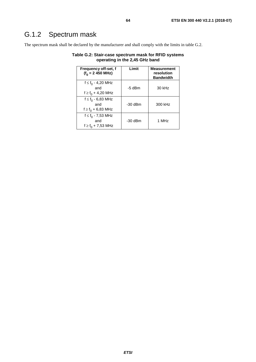# G.1.2 Spectrum mask

The spectrum mask shall be declared by the manufacturer and shall comply with the limits in table G.2.

| Frequency off-set, f<br>$(f_0 = 2 450 \text{ MHz})$     | Limit     | <b>Measurement</b><br>resolution<br><b>Bandwidth</b> |
|---------------------------------------------------------|-----------|------------------------------------------------------|
| $f \le f_0 - 4,20$ MHz<br>and<br>$f \ge f_0 + 4,20$ MHz | $-5$ dBm  | 30 kHz                                               |
| $f \le f_0 - 6,83$ MHz<br>and<br>$f \ge f_0 + 6,83$ MHz | -30 dBm   | 300 kHz                                              |
| $f \le f_0 - 7,53$ MHz<br>and<br>$f \ge f_0 + 7,53$ MHz | $-30$ dBm | 1 MHz                                                |

**Table G.2: Stair-case spectrum mask for RFID systems operating in the 2,45 GHz band**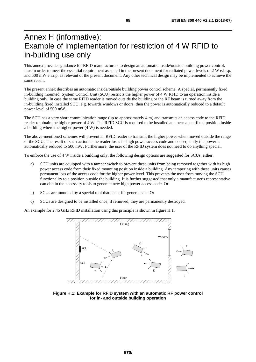# Annex H (informative): Example of implementation for restriction of 4 W RFID to in-building use only

This annex provides guidance for RFID manufacturers to design an automatic inside/outside building power control, thus in order to meet the essential requirement as stated in the present document for radiated power levels of 2 W e.i.r.p. and 500 mW e.i.r.p. as relevant of the present document. Any other technical design may be implemented to achieve the same result.

The present annex describes an automatic inside/outside building power control scheme. A special, permanently fixed in-building mounted, System Control Unit (SCU) restricts the higher power of 4 W RFID to an operation inside a building only. In case the same RFID reader is moved outside the building or the RF beam is turned away from the in-building fixed installed SCU, e.g. towards windows or doors, then the power is automatically reduced to a default power level of 500 mW.

The SCU has a very short communication range (up to approximately 4 m) and transmits an access code to the RFID reader to obtain the higher power of 4 W. The RFID SCU is required to be installed at a permanent fixed position inside a building where the higher power (4 W) is needed.

The above-mentioned schemes will prevent an RFID reader to transmit the higher power when moved outside the range of the SCU. The result of such action is the reader loses its high power access code and consequently the power is automatically reduced to 500 mW. Furthermore, the user of the RFID system does not need to do anything special.

To enforce the use of 4 W inside a building only, the following design options are suggested for SCUs, either:

- a) SCU units are equipped with a tamper switch to prevent these units from being removed together with its high power access code from their fixed mounting position inside a building. Any tampering with these units causes permanent loss of the access code for the higher power level. This prevents the user from moving the SCU functionality to a position outside the building. It is further suggested that only a manufacturer's representative can obtain the necessary tools to generate new high power access code. Or
- b) SCUs are mounted by a special tool that is not for general sale. Or
- c) SCUs are designed to be installed once; if removed, they are permanently destroyed.

An example for 2,45 GHz RFID installation using this principle is shown in figure H.1.



**Figure H.1: Example for RFID system with an automatic RF power control for in- and outside building operation**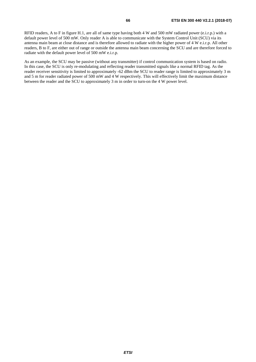RFID readers, A to F in figure H.1, are all of same type having both 4 W and 500 mW radiated power (e.i.r.p.) with a default power level of 500 mW. Only reader A is able to communicate with the System Control Unit (SCU) via its antenna main beam at close distance and is therefore allowed to radiate with the higher power of 4 W e.i.r.p. All other readers, B to F, are either out of range or outside the antenna main beam concerning the SCU and are therefore forced to radiate with the default power level of 500 mW e.i.r.p.

As an example, the SCU may be passive (without any transmitter) if control communication system is based on radio. In this case, the SCU is only re-modulating and reflecting reader transmitted signals like a normal RFID tag. As the reader receiver sensitivity is limited to approximately -62 dBm the SCU to reader range is limited to approximately 3 m and 5 m for reader radiated power of 500 mW and 4 W respectively. This will effectively limit the maximum distance between the reader and the SCU to approximately 3 m in order to turn-on the 4 W power level.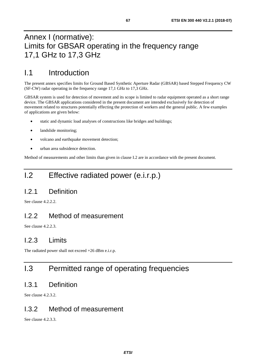# Annex I (normative): Limits for GBSAR operating in the frequency range 17,1 GHz to 17,3 GHz

# I.1 Introduction

The present annex specifies limits for Ground Based Synthetic Aperture Radar (GBSAR) based Stepped Frequency CW (SF-CW) radar operating in the frequency range 17,1 GHz to 17,3 GHz.

GBSAR system is used for detection of movement and its scope is limited to radar equipment operated as a short range device. The GBSAR applications considered in the present document are intended exclusively for detection of movement related to structures potentially effecting the protection of workers and the general public. A few examples of applications are given below:

- static and dynamic load analyses of constructions like bridges and buildings;
- landslide monitoring;
- volcano and earthquake movement detection;
- urban area subsidence detection.

Method of measurements and other limits than given in clause I.2 are in accordance with the present document.

# I.2 Effective radiated power (e.i.r.p.)

## I.2.1 Definition

See clause 4.2.2.2.

## I.2.2 Method of measurement

See clause 4.2.2.3.

### I.2.3 Limits

The radiated power shall not exceed +26 dBm e.i.r.p.

# I.3 Permitted range of operating frequencies

### I.3.1 Definition

See clause 4.2.3.2.

### I.3.2 Method of measurement

See clause 4.2.3.3.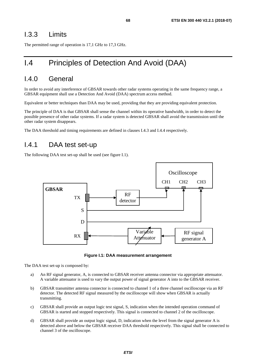### I.3.3 Limits

The permitted range of operation is 17,1 GHz to 17,3 GHz.

# I.4 Principles of Detection And Avoid (DAA)

### I.4.0 General

In order to avoid any interference of GBSAR towards other radar systems operating in the same frequency range, a GBSAR equipment shall use a Detection And Avoid (DAA) spectrum access method.

Equivalent or better techniques than DAA may be used, providing that they are providing equivalent protection.

The principle of DAA is that GBSAR shall sense the channel within its operative bandwidth, in order to detect the possible presence of other radar systems. If a radar system is detected GBSAR shall avoid the transmission until the other radar system disappears.

The DAA threshold and timing requirements are defined in clauses I.4.3 and I.4.4 respectively.

### I.4.1 DAA test set-up

The following DAA test set-up shall be used (see figure I.1).





The DAA test set-up is composed by:

- a) An RF signal generator, A, is connected to GBSAR receiver antenna connector via appropriate attenuator. A variable attenuator is used to vary the output power of signal generator A into to the GBSAR receiver.
- b) GBSAR transmitter antenna connector is connected to channel 1 of a three channel oscilloscope via an RF detector. The detected RF signal measured by the oscilloscope will show when GBSAR is actually transmitting.
- c) GBSAR shall provide an output logic test signal, S, indication when the intended operation command of GBSAR is started and stopped respectively. This signal is connected to channel 2 of the oscilloscope.
- d) GBSAR shall provide an output logic signal, D, indication when the level from the signal generator A is detected above and below the GBSAR receiver DAA threshold respectively. This signal shall be connected to channel 3 of the oscilloscope.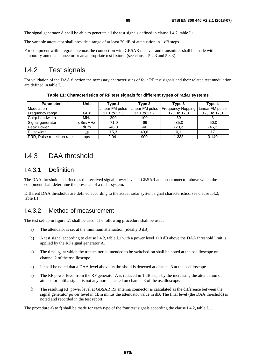The signal generator A shall be able to generate all the test signals defined in clause I.4.2, table I.1.

The variable attenuator shall provide a range of at least 20 dB of attenuation in 1 dB steps.

For equipment with integral antennas the connection with GBSAR receiver and transmitter shall be made with a temporary antenna connector or an appropriate test fixture, (see clauses 5.2.3 and 5.8.3).

### I.4.2 Test signals

For validation of the DAA function the necessary characteristics of four RF test signals and their related test modulation are defined in table I.1.

| <b>Parameter</b>                  | Unit       | Tvpe 1          | Tvpe 2          | Type 3            | Tvpe 4          |
|-----------------------------------|------------|-----------------|-----------------|-------------------|-----------------|
| Modulation                        |            | Linear FM pulse | Linear FM pulse | Frequency Hopping | Linear FM pulse |
| Frequency range                   | GHz        | 17,1 to 17,3    | 17,1 to 17,2    | 17,1 to 17,3      | 17,1 to 17,3    |
| Chirp bandwidth                   | <b>MHz</b> | 200             | 100             | 30                |                 |
| Signal generator                  | dBm/MHz    | $-71.0$         | -66             | $-35,0$           | $-50,0$         |
| <b>Peak Power</b>                 | dBm        | $-48,0$         | -46             | $-20.2$           | $-45.2$         |
| Pulsewidth                        | us         | 15,3            | 40,6            | 0.1               |                 |
| <b>PRR, Pulse repetition rate</b> | pps        | 2 0 4 1         | 900             | 1 3 3 3           | 3 1 4 0         |

**Table I.1: Characteristics of RF test signals for different types of radar systems** 

## I.4.3 DAA threshold

### I.4.3.1 Definition

The DAA threshold is defined as the received signal power level at GBSAR antenna connector above which the equipment shall determine the presence of a radar system.

Different DAA thresholds are defined according to the actual radar system signal characteristics, see clause I.4.2, table I.1.

### I.4.3.2 Method of measurement

The test set-up in figure I.1 shall be used. The following procedure shall be used:

- a) The attenuator is set at the minimum attenuation (ideally 0 dB).
- b) A test signal according to clause I.4.2, table I.1 with a power level +10 dB above the DAA threshold limit is applied by the RF signal generator A.
- c) The time,  $t_0$ , at which the transmitter is intended to be switched-on shall be noted at the oscilloscope on channel 2 of the oscilloscope.
- d) It shall be noted that a DAA level above its threshold is detected at channel 3 at the oscilloscope.
- e) The RF power level from the RF generator A is reduced in 1 dB steps by the increasing the attenuation of attenuator until a signal is not anymore detected on channel 3 of the oscilloscope.
- f) The resulting RF power level at GBSAR Rx antenna connector is calculated as the difference between the signal generator power level in dBm minus the attenuator value in dB. The final level (the DAA threshold) is noted and recorded in the test report.

The procedure a) to f) shall be made for each type of the four test signals according the clause I.4.2, table I.1.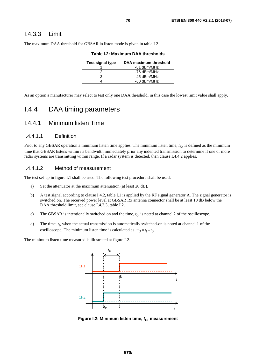### I.4.3.3 Limit

The maximum DAA threshold for GBSAR in listen mode is given in table I.2.

| Table I.2: Maximum DAA thresholds |  |
|-----------------------------------|--|
|-----------------------------------|--|

| <b>Test signal type</b> | DAA maximum threshold |
|-------------------------|-----------------------|
|                         | -81 dBm/MHz           |
|                         | -76 dBm/MHz           |
|                         | -45 dBm/MHz           |
|                         | -60 dBm/MHz           |

As an option a manufacturer may select to test only one DAA threshold, in this case the lowest limit value shall apply.

## I.4.4 DAA timing parameters

### I.4.4.1 Minimum listen Time

#### I.4.4.1.1 Definition

Prior to any GBSAR operation a minimum listen time applies. The minimum listen time,  $t_D$ , is defined as the minimum time that GBSAR listens within its bandwidth immediately prior any indented transmission to determine if one or more radar systems are transmitting within range. If a radar system is detected, then clause I.4.4.2 applies.

#### I.4.4.1.2 Method of measurement

The test set-up in figure I.1 shall be used. The following test procedure shall be used:

- a) Set the attenuator at the maximum attenuation (at least 20 dB).
- b) A test signal according to clause I.4.2, table I.1 is applied by the RF signal generator A. The signal generator is switched on. The received power level at GBSAR Rx antenna connector shall be at least 10 dB below the DAA threshold limit, see clause I.4.3.3, table I.2.
- c) The GBSAR is intentionally switched on and the time,  $t_0$ , is noted at channel 2 of the oscilloscope.
- d) The time,  $t_t$ , when the actual transmission is automatically switched-on is noted at channel 1 of the oscilloscope, The minimum listen time is calculated as :  $t_D = t_t - t_0$ .

The minimum listen time measured is illustrated at figure I.2.



**Figure I.2: Minimum listen time,**  $t_D$ **, measurement**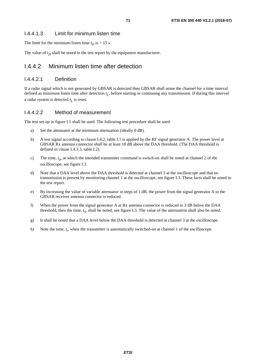### I.4.4.1.3 Limit for minimum listen time

The limit for the minimum listen time  $t_D$  is  $> 15$  s.

The value of  $t_D$  shall be noted in the test report by the equipment manufacturer.

### I.4.4.2 Minimum listen time after detection

### I.4.4.2.1 Definition

If a radar signal which is not generated by GBSAR is detected then GBSAR shall sense the channel for a time interval defined as minimum listen time after detection *t <sup>L</sup>*, before starting or continuing any transmission. If during this interval a radar system is detected *t <sup>L</sup>* is reset.

### I.4.4.2.2 Method of measurement

The test set-up in figure I.1 shall be used. The following test procedure shall be used:

- a) Set the attenuator at the minimum attenuation (ideally 0 dB).
- b) A test signal according to clause I.4.2, table I.1 is applied by the RF signal generator A. The power level at GBSAR Rx antenna connector shall be at least 10 dB above the DAA threshold. (The DAA threshold is defined in clause I.4.3.3, table I.2).
- c) The time,  $t_0$ , at which the intended transmitter command is switch-on shall be noted at channel 2 of the oscilloscope, see figure I.3.
- d) Note that a DAA level above the DAA threshold is detected at channel 3 at the oscilloscope and that no transmission is present by monitoring channel 1 at the oscilloscope, see figure I.3. These facts shall be noted in the test report.
- e) By increasing the value of variable attenuator in steps of 1 dB, the power from the signal generator A to the GBSAR receiver antenna connector is reduced.
- f) When the power from the signal generator A at Rx antenna connector is reduced to 3 dB below the DAA threshold, then the time,  $t<sub>S</sub>$ , shall be noted, see figure I.3. The value of the attenuation shall also be noted.
- g) It shall be noted that a DAA level below the DAA threshold is detected at channel 3 at the oscilloscope.
- h) Note the time,  $t_t$ , when the transmitter is automatically switched-on at channel 1 of the oscilloscope.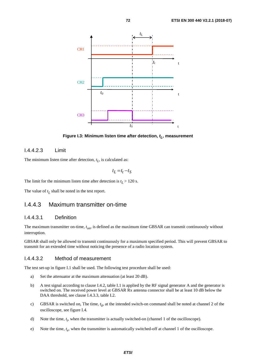

**Figure I.3: Minimum listen time after detection,**  $t_l$ **, measurement** 

#### I.4.4.2.3 Limit

The minimum listen time after detection, *t <sup>L</sup>*, is calculated as:

$$
t_L\!=\!t_t\!-\!t_S
$$

The limit for the minimum listen time after detection is  $t_L$  > 120 s.

The value of  $t_L$  shall be noted in the test report.

### I.4.4.3 Maximum transmitter on-time

#### I.4.4.3.1 Definition

The maximum transmitter on-time,  $t_{on}$ , is defined as the maximum time GBSAR can transmit continuously without interruption.

GBSAR shall only be allowed to transmit continuously for a maximum specified period. This will prevent GBSAR to transmit for an extended time without noticing the presence of a radio location system.

#### I.4.4.3.2 Method of measurement

The test set-up in figure I.1 shall be used. The following test procedure shall be used:

- a) Set the attenuator at the maximum attenuation (at least 20 dB).
- b) A test signal according to clause I.4.2, table I.1 is applied by the RF signal generator A and the generator is switched on. The received power level at GBSAR Rx antenna connector shall be at least 10 dB below the DAA threshold, see clause I.4.3.3, table I.2.
- c) GBSAR is switched on, The time,  $t_0$ , at the intended switch-on command shall be noted at channel 2 of the oscilloscope, see figure I.4.
- d) Note the time,  $t_t$ , when the transmitter is actually switched-on (channel 1 of the oscilloscope).
- e) Note the time, *t <sup>e</sup>*, when the transmitter is automatically switched-off at channel 1 of the oscilloscope.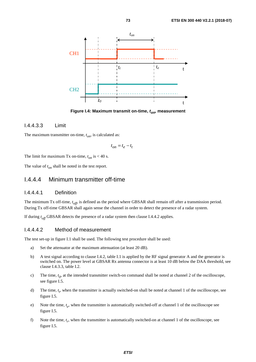

**Figure I.4: Maximum transmit on-time,**  $t_{\text{on}}$ **, measurement** 

#### I.4.4.3.3 Limit

The maximum transmitter on-time,  $t_{on}$ , is calculated as:

$$
t_{on} = t_e - t_t
$$

The limit for maximum Tx on-time,  $t_{on}$  is  $<$  40 s.

The value of  $t_{on}$  shall be noted in the test report.

### I.4.4.4 Minimum transmitter off-time

#### I.4.4.4.1 Definition

The minimum Tx off-time,  $t_{off}$  is defined as the period where GBSAR shall remain off after a transmission period. During Tx off-time GBSAR shall again sense the channel in order to detect the presence of a radar system.

If during *t off* GBSAR detects the presence of a radar system then clause I.4.4.2 applies.

#### I.4.4.4.2 Method of measurement

The test set-up in figure I.1 shall be used. The following test procedure shall be used:

- a) Set the attenuator at the maximum attenuation (at least 20 dB).
- b) A test signal according to clause I.4.2, table I.1 is applied by the RF signal generator A and the generator is switched on. The power level at GBSAR Rx antenna connector is at least 10 dB below the DAA threshold, see clause I.4.3.3, table I.2.
- c) The time,  $t_0$ , at the intended transmitter switch-on command shall be noted at channel 2 of the oscilloscope, see figure I.5.
- d) The time,  $t_f$ , when the transmitter is actually switched-on shall be noted at channel 1 of the oscilloscope, see figure I.5.
- e) Note the time, *t <sup>e</sup>*, when the transmitter is automatically switched-off at channel 1 of the oscilloscope see figure I.5.
- f) Note the time, *t <sup>r</sup>*, when the transmitter is automatically switched-on at channel 1 of the oscilloscope, see figure I.5.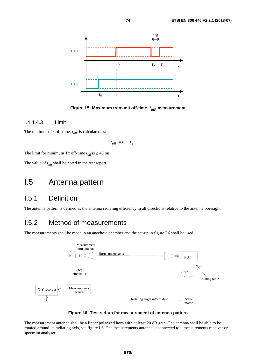

**Figure I.5: Maximum transmit off-time,** *toff,* **measurement** 

### I.4.4.4.3 Limit

The minimum Tx off-time,  $t_{off}$  is calculated as:

$$
t_{off} = t_r - t_e
$$

The limit for minimum Tx off-time  $t_{off}$  is  $\geq 40$  ms.

The value of  $t_{off}$  shall be noted in the test report.

## I.5 Antenna pattern

### I.5.1 Definition

The antenna pattern is defined as the antenna radiating efficiency in all directions relative to the antenna boresight.

### I.5.2 Method of measurements

The measurements shall be made in an anechoic chamber and the set-up in figure I.6 shall be used.





The measurement antenna shall be a linear polarized horn with at least 20 dB gain. The antenna shall be able to be rotated around its radiating axis, see figure I.6. The measurements antenna is connected to a measurements receiver or spectrum analyser.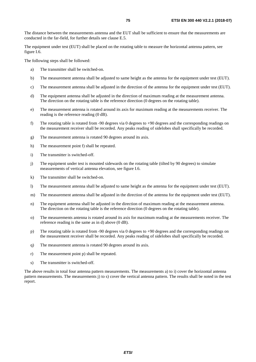The distance between the measurements antenna and the EUT shall be sufficient to ensure that the measurements are conducted in the far-field, for further details see clause E.5.

The equipment under test (EUT) shall be placed on the rotating table to measure the horizontal antenna pattern, see figure I.6.

The following steps shall be followed:

- a) The transmitter shall be switched-on.
- b) The measurement antenna shall be adjusted to same height as the antenna for the equipment under test (EUT).
- c) The measurement antenna shall be adjusted in the direction of the antenna for the equipment under test (EUT).
- d) The equipment antenna shall be adjusted in the direction of maximum reading at the measurement antenna. The direction on the rotating table is the reference direction (0 degrees on the rotating table).
- e) The measurement antenna is rotated around its axis for maximum reading at the measurements receiver. The reading is the reference reading (0 dB).
- f) The rotating table is rotated from -90 degrees via 0 degrees to +90 degrees and the corresponding readings on the measurement receiver shall be recorded. Any peaks reading of sidelobes shall specifically be recorded.
- g) The measurement antenna is rotated 90 degrees around its axis.
- h) The measurement point f) shall be repeated.
- i) The transmitter is switched-off.
- j) The equipment under test is mounted sidewards on the rotating table (tilted by 90 degrees) to simulate measurements of vertical antenna elevation, see figure I.6.
- k) The transmitter shall be switched-on.
- l) The measurement antenna shall be adjusted to same height as the antenna for the equipment under test (EUT).
- m) The measurement antenna shall be adjusted in the direction of the antenna for the equipment under test (EUT).
- n) The equipment antenna shall be adjusted in the direction of maximum reading at the measurement antenna. The direction on the rotating table is the reference direction (0 degrees on the rotating table).
- o) The measurements antenna is rotated around its axis for maximum reading at the measurements receiver. The reference reading is the same as in d) above (0 dB).
- p) The rotating table is rotated from -90 degrees via 0 degrees to +90 degrees and the corresponding readings on the measurement receiver shall be recorded. Any peaks reading of sidelobes shall specifically be recorded.
- q) The measurement antenna is rotated 90 degrees around its axis.
- r) The measurement point p) shall be repeated.
- s) The transmitter is switched-off.

The above results in total four antenna pattern measurements. The measurements a) to i) cover the horizontal antenna pattern measurements. The measurements j) to s) cover the vertical antenna pattern. The results shall be noted in the test report.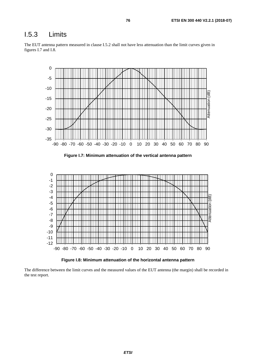### I.5.3 Limits





**Figure I.8: Minimum attenuation of the horizontal antenna pattern** 

The difference between the limit curves and the measured values of the EUT antenna (the margin) shall be recorded in the test report.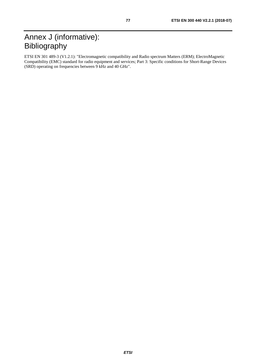ETSI EN 301 489-3 (V1.2.1): "Electromagnetic compatibility and Radio spectrum Matters (ERM); ElectroMagnetic Compatibility (EMC) standard for radio equipment and services; Part 3: Specific conditions for Short-Range Devices (SRD) operating on frequencies between 9 kHz and 40 GHz".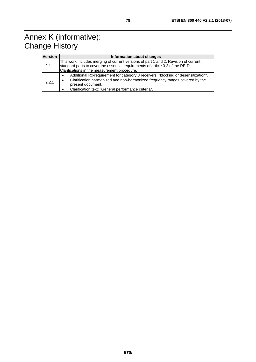## Annex K (informative): **Change History**

| Version | Information about changes                                                                                                                                                                                                                     |  |  |  |  |
|---------|-----------------------------------------------------------------------------------------------------------------------------------------------------------------------------------------------------------------------------------------------|--|--|--|--|
| 2.1.1   | This work includes merging of current versions of part 1 and 2. Revision of current<br>standard parts to cover the essential requirements of article 3.2 of the RE-D.<br>Clarifications in the measurement procedure.                         |  |  |  |  |
| 2.2.1   | Additional Rx-requirement for category 3 receivers: "blocking or desensitization".<br>Clarification harmonized and non-harmonized frequency ranges covered by the<br>present document.<br>Clarification text: "General performance criteria". |  |  |  |  |